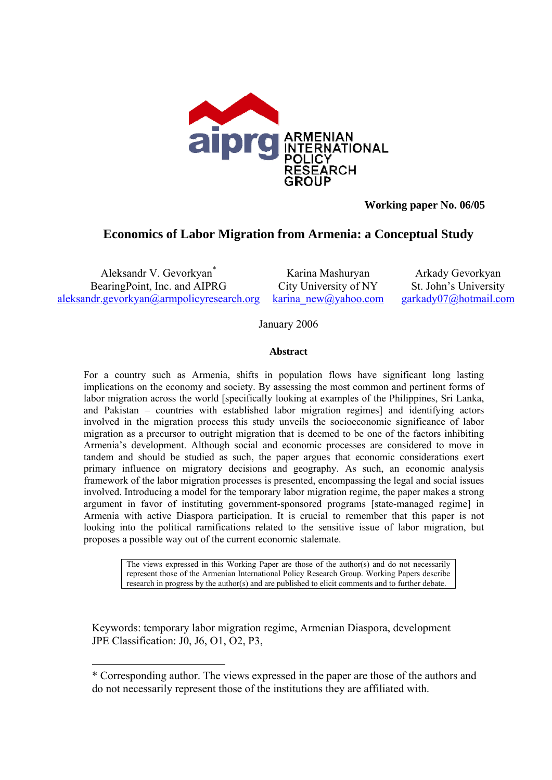

# **Working paper No. 06/05**

# **Economics of Labor Migration from Armenia: a Conceptual Study**

Aleksandr V. Gevorkyan[\\*](#page-0-0) BearingPoint, Inc. and AIPRG [aleksandr.gevorkyan@armpolicyresearch.org](mailto:aleksandr.gevorkyan@armpolicyresearch.org) karina new@yahoo.com [garkady07@hotmail.com](mailto:garkady07@hotmail.com)

 $\overline{a}$ 

Karina Mashuryan City University of NY

Arkady Gevorkyan St. John's University

January 2006

### **Abstract**

For a country such as Armenia, shifts in population flows have significant long lasting implications on the economy and society. By assessing the most common and pertinent forms of labor migration across the world [specifically looking at examples of the Philippines, Sri Lanka, and Pakistan – countries with established labor migration regimes] and identifying actors involved in the migration process this study unveils the socioeconomic significance of labor migration as a precursor to outright migration that is deemed to be one of the factors inhibiting Armenia's development. Although social and economic processes are considered to move in tandem and should be studied as such, the paper argues that economic considerations exert primary influence on migratory decisions and geography. As such, an economic analysis framework of the labor migration processes is presented, encompassing the legal and social issues involved. Introducing a model for the temporary labor migration regime, the paper makes a strong argument in favor of instituting government-sponsored programs [state-managed regime] in Armenia with active Diaspora participation. It is crucial to remember that this paper is not looking into the political ramifications related to the sensitive issue of labor migration, but proposes a possible way out of the current economic stalemate.

> The views expressed in this Working Paper are those of the author(s) and do not necessarily represent those of the Armenian International Policy Research Group. Working Papers describe research in progress by the author(s) and are published to elicit comments and to further debate.

Keywords: temporary labor migration regime, Armenian Diaspora, development JPE Classification: J0, J6, O1, O2, P3,

<span id="page-0-0"></span><sup>\*</sup> Corresponding author. The views expressed in the paper are those of the authors and do not necessarily represent those of the institutions they are affiliated with.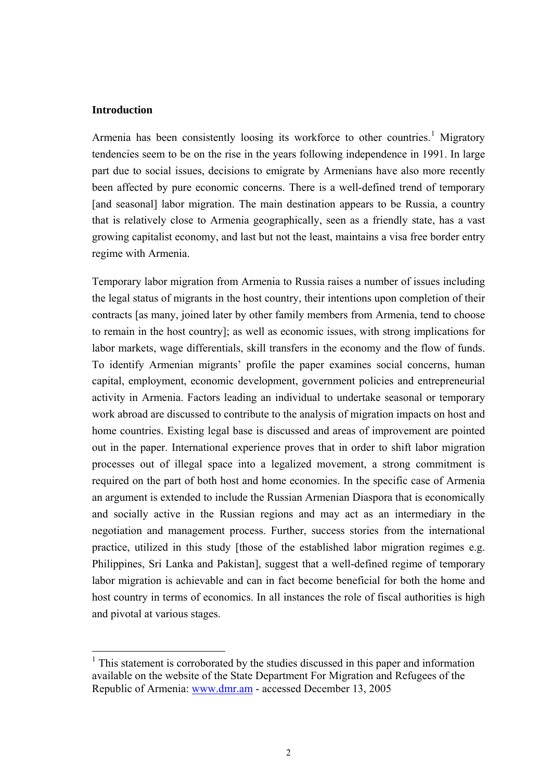### **Introduction**

 $\overline{a}$ 

Armenia has been consistently loosing its workforce to other countries.<sup>[1](#page-1-0)</sup> Migratory tendencies seem to be on the rise in the years following independence in 1991. In large part due to social issues, decisions to emigrate by Armenians have also more recently been affected by pure economic concerns. There is a well-defined trend of temporary [and seasonal] labor migration. The main destination appears to be Russia, a country that is relatively close to Armenia geographically, seen as a friendly state, has a vast growing capitalist economy, and last but not the least, maintains a visa free border entry regime with Armenia.

Temporary labor migration from Armenia to Russia raises a number of issues including the legal status of migrants in the host country, their intentions upon completion of their contracts [as many, joined later by other family members from Armenia, tend to choose to remain in the host country]; as well as economic issues, with strong implications for labor markets, wage differentials, skill transfers in the economy and the flow of funds. To identify Armenian migrants' profile the paper examines social concerns, human capital, employment, economic development, government policies and entrepreneurial activity in Armenia. Factors leading an individual to undertake seasonal or temporary work abroad are discussed to contribute to the analysis of migration impacts on host and home countries. Existing legal base is discussed and areas of improvement are pointed out in the paper. International experience proves that in order to shift labor migration processes out of illegal space into a legalized movement, a strong commitment is required on the part of both host and home economies. In the specific case of Armenia an argument is extended to include the Russian Armenian Diaspora that is economically and socially active in the Russian regions and may act as an intermediary in the negotiation and management process. Further, success stories from the international practice, utilized in this study [those of the established labor migration regimes e.g. Philippines, Sri Lanka and Pakistan], suggest that a well-defined regime of temporary labor migration is achievable and can in fact become beneficial for both the home and host country in terms of economics. In all instances the role of fiscal authorities is high and pivotal at various stages.

<span id="page-1-0"></span><sup>&</sup>lt;sup>1</sup> This statement is corroborated by the studies discussed in this paper and information available on the website of the State Department For Migration and Refugees of the Republic of Armenia: www.dmr.am - accessed December 13, 2005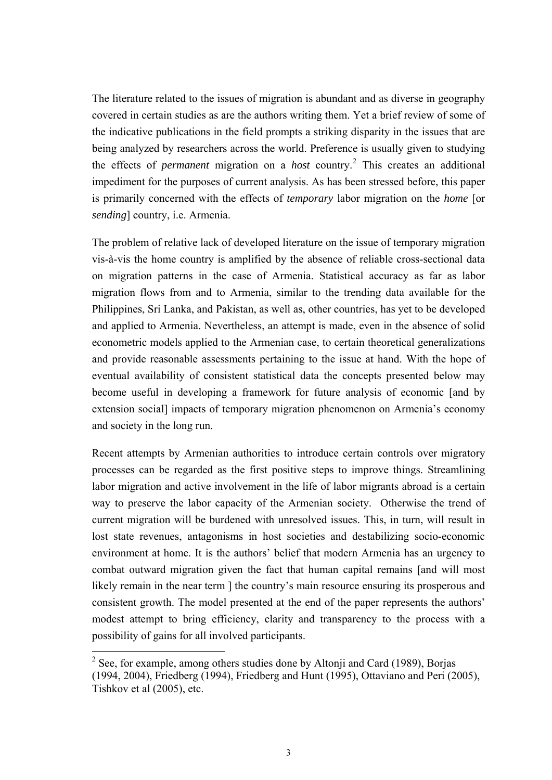<span id="page-2-0"></span>The literature related to the issues of migration is abundant and as diverse in geography covered in certain studies as are the authors writing them. Yet a brief review of some of the indicative publications in the field prompts a striking disparity in the issues that are being analyzed by researchers across the world. Preference is usually given to studying the effects of *permanent* migration on a *host* country.<sup>[2](#page-2-0)</sup> This creates an additional impediment for the purposes of current analysis. As has been stressed before, this paper is primarily concerned with the effects of *temporary* labor migration on the *home* [or *sending*] country, i.e. Armenia.

The problem of relative lack of developed literature on the issue of temporary migration vis-à-vis the home country is amplified by the absence of reliable cross-sectional data on migration patterns in the case of Armenia. Statistical accuracy as far as labor migration flows from and to Armenia, similar to the trending data available for the Philippines, Sri Lanka, and Pakistan, as well as, other countries, has yet to be developed and applied to Armenia. Nevertheless, an attempt is made, even in the absence of solid econometric models applied to the Armenian case, to certain theoretical generalizations and provide reasonable assessments pertaining to the issue at hand. With the hope of eventual availability of consistent statistical data the concepts presented below may become useful in developing a framework for future analysis of economic [and by extension social] impacts of temporary migration phenomenon on Armenia's economy and society in the long run.

Recent attempts by Armenian authorities to introduce certain controls over migratory processes can be regarded as the first positive steps to improve things. Streamlining labor migration and active involvement in the life of labor migrants abroad is a certain way to preserve the labor capacity of the Armenian society. Otherwise the trend of current migration will be burdened with unresolved issues. This, in turn, will result in lost state revenues, antagonisms in host societies and destabilizing socio-economic environment at home. It is the authors' belief that modern Armenia has an urgency to combat outward migration given the fact that human capital remains [and will most likely remain in the near term 1 the country's main resource ensuring its prosperous and consistent growth. The model presented at the end of the paper represents the authors' modest attempt to bring efficiency, clarity and transparency to the process with a possibility of gains for all involved participants.

 $2^2$  See, for example, among others studies done by Altonji and Card (1989), Borjas (1994, 2004), Friedberg (1994), Friedberg and Hunt (1995), Ottaviano and Peri (2005), Tishkov et al (2005), etc.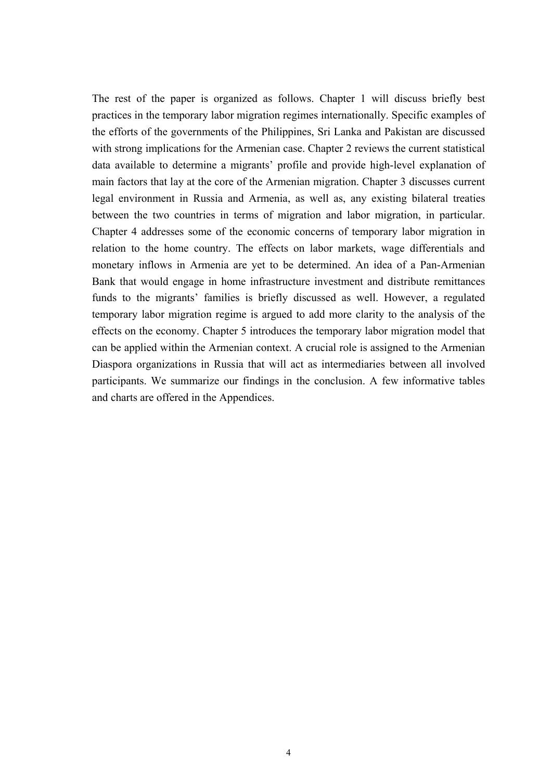The rest of the paper is organized as follows. Chapter 1 will discuss briefly best practices in the temporary labor migration regimes internationally. Specific examples of the efforts of the governments of the Philippines, Sri Lanka and Pakistan are discussed with strong implications for the Armenian case. Chapter 2 reviews the current statistical data available to determine a migrants' profile and provide high-level explanation of main factors that lay at the core of the Armenian migration. Chapter 3 discusses current legal environment in Russia and Armenia, as well as, any existing bilateral treaties between the two countries in terms of migration and labor migration, in particular. Chapter 4 addresses some of the economic concerns of temporary labor migration in relation to the home country. The effects on labor markets, wage differentials and monetary inflows in Armenia are yet to be determined. An idea of a Pan-Armenian Bank that would engage in home infrastructure investment and distribute remittances funds to the migrants' families is briefly discussed as well. However, a regulated temporary labor migration regime is argued to add more clarity to the analysis of the effects on the economy. Chapter 5 introduces the temporary labor migration model that can be applied within the Armenian context. A crucial role is assigned to the Armenian Diaspora organizations in Russia that will act as intermediaries between all involved participants. We summarize our findings in the conclusion. A few informative tables and charts are offered in the Appendices.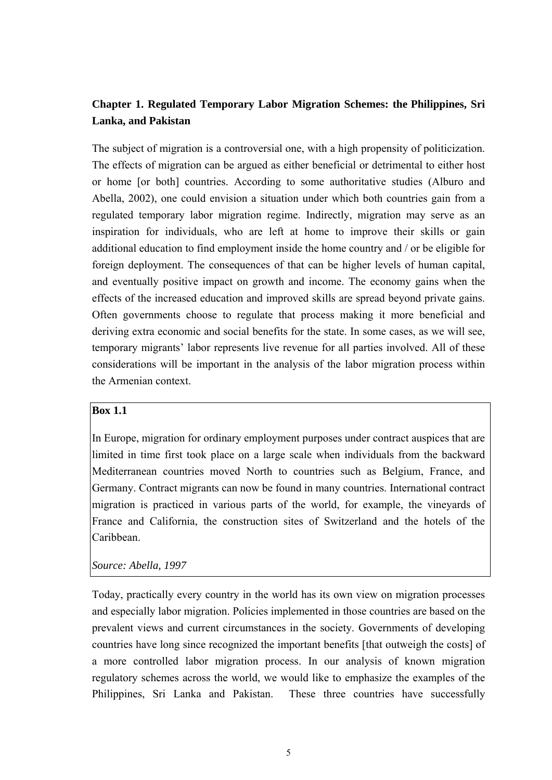# **Chapter 1. Regulated Temporary Labor Migration Schemes: the Philippines, Sri Lanka, and Pakistan**

The subject of migration is a controversial one, with a high propensity of politicization. The effects of migration can be argued as either beneficial or detrimental to either host or home [or both] countries. According to some authoritative studies (Alburo and Abella, 2002), one could envision a situation under which both countries gain from a regulated temporary labor migration regime. Indirectly, migration may serve as an inspiration for individuals, who are left at home to improve their skills or gain additional education to find employment inside the home country and / or be eligible for foreign deployment. The consequences of that can be higher levels of human capital, and eventually positive impact on growth and income. The economy gains when the effects of the increased education and improved skills are spread beyond private gains. Often governments choose to regulate that process making it more beneficial and deriving extra economic and social benefits for the state. In some cases, as we will see, temporary migrants' labor represents live revenue for all parties involved. All of these considerations will be important in the analysis of the labor migration process within the Armenian context.

### **Box 1.1**

In Europe, migration for ordinary employment purposes under contract auspices that are limited in time first took place on a large scale when individuals from the backward Mediterranean countries moved North to countries such as Belgium, France, and Germany. Contract migrants can now be found in many countries. International contract migration is practiced in various parts of the world, for example, the vineyards of France and California, the construction sites of Switzerland and the hotels of the Caribbean.

### *Source: Abella, 1997*

Today, practically every country in the world has its own view on migration processes and especially labor migration. Policies implemented in those countries are based on the prevalent views and current circumstances in the society. Governments of developing countries have long since recognized the important benefits [that outweigh the costs] of a more controlled labor migration process. In our analysis of known migration regulatory schemes across the world, we would like to emphasize the examples of the Philippines, Sri Lanka and Pakistan. These three countries have successfully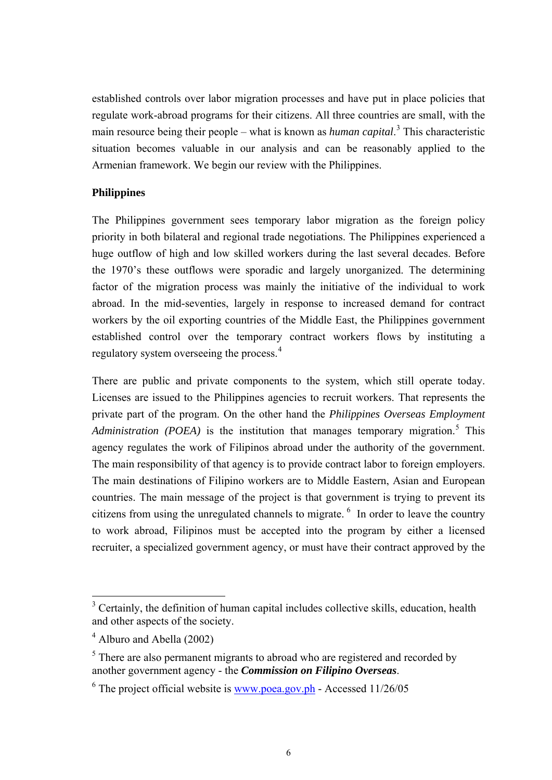<span id="page-5-0"></span>established controls over labor migration processes and have put in place policies that regulate work-abroad programs for their citizens. All three countries are small, with the main resource being their people – what is known as *human capital*. [3](#page-5-0) This characteristic situation becomes valuable in our analysis and can be reasonably applied to the Armenian framework. We begin our review with the Philippines.

## **Philippines**

The Philippines government sees temporary labor migration as the foreign policy priority in both bilateral and regional trade negotiations. The Philippines experienced a huge outflow of high and low skilled workers during the last several decades. Before the 1970's these outflows were sporadic and largely unorganized. The determining factor of the migration process was mainly the initiative of the individual to work abroad. In the mid-seventies, largely in response to increased demand for contract workers by the oil exporting countries of the Middle East, the Philippines government established control over the temporary contract workers flows by instituting a regulatory system overseeing the process.<sup>[4](#page-5-0)</sup>

There are public and private components to the system, which still operate today. Licenses are issued to the Philippines agencies to recruit workers. That represents the private part of the program. On the other hand the *Philippines Overseas Employment*  Administration (POEA) is the institution that manages temporary migration.<sup>[5](#page-5-0)</sup> This agency regulates the work of Filipinos abroad under the authority of the government. The main responsibility of that agency is to provide contract labor to foreign employers. The main destinations of Filipino workers are to Middle Eastern, Asian and European countries. The main message of the project is that government is trying to prevent its citizens from using the unregulated channels to migrate.  $6\,$  $6\,$  In order to leave the country to work abroad, Filipinos must be accepted into the program by either a licensed recruiter, a specialized government agency, or must have their contract approved by the

<sup>&</sup>lt;sup>3</sup> Certainly, the definition of human capital includes collective skills, education, health and other aspects of the society.

<sup>&</sup>lt;sup>4</sup> Alburo and Abella (2002)

 $<sup>5</sup>$  There are also permanent migrants to abroad who are registered and recorded by</sup> another government agency - the *Commission on Filipino Overseas*.

 $6$  The project official website is <u>www.poea.gov.ph</u> - Accessed  $11/26/05$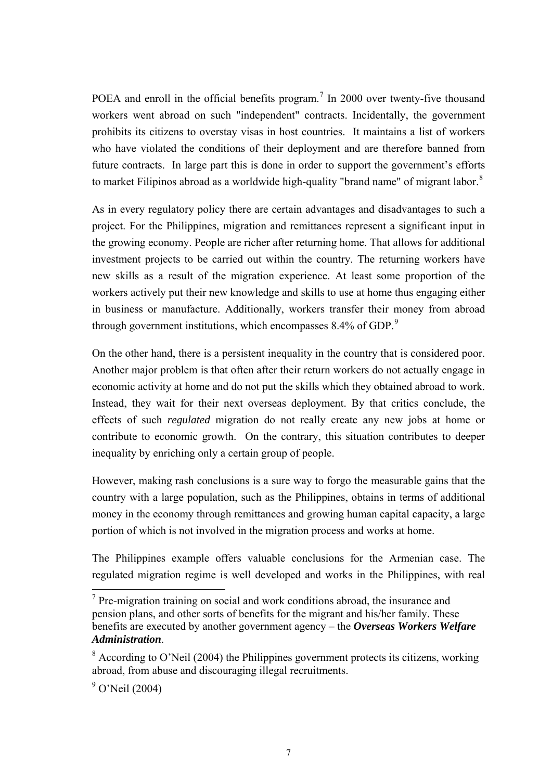<span id="page-6-0"></span>POEA and enroll in the official benefits program.<sup>[7](#page-6-0)</sup> In 2000 over twenty-five thousand workers went abroad on such "independent" contracts. Incidentally, the government prohibits its citizens to overstay visas in host countries. It maintains a list of workers who have violated the conditions of their deployment and are therefore banned from future contracts. In large part this is done in order to support the government's efforts to market Filipinos abroad as a worldwide high-quality "brand name" of migrant labor. $8$ 

As in every regulatory policy there are certain advantages and disadvantages to such a project. For the Philippines, migration and remittances represent a significant input in the growing economy. People are richer after returning home. That allows for additional investment projects to be carried out within the country. The returning workers have new skills as a result of the migration experience. At least some proportion of the workers actively put their new knowledge and skills to use at home thus engaging either in business or manufacture. Additionally, workers transfer their money from abroad through government institutions, which encompasses  $8.4\%$  of GDP.<sup>[9](#page-6-0)</sup>

On the other hand, there is a persistent inequality in the country that is considered poor. Another major problem is that often after their return workers do not actually engage in economic activity at home and do not put the skills which they obtained abroad to work. Instead, they wait for their next overseas deployment. By that critics conclude, the effects of such *regulated* migration do not really create any new jobs at home or contribute to economic growth. On the contrary, this situation contributes to deeper inequality by enriching only a certain group of people.

However, making rash conclusions is a sure way to forgo the measurable gains that the country with a large population, such as the Philippines, obtains in terms of additional money in the economy through remittances and growing human capital capacity, a large portion of which is not involved in the migration process and works at home.

The Philippines example offers valuable conclusions for the Armenian case. The regulated migration regime is well developed and works in the Philippines, with real

 $7$  Pre-migration training on social and work conditions abroad, the insurance and pension plans, and other sorts of benefits for the migrant and his/her family. These benefits are executed by another government agency – the *Overseas Workers Welfare Administration*.

 $8$  According to O'Neil (2004) the Philippines government protects its citizens, working abroad, from abuse and discouraging illegal recruitments.

<sup>&</sup>lt;sup>9</sup> O'Neil (2004)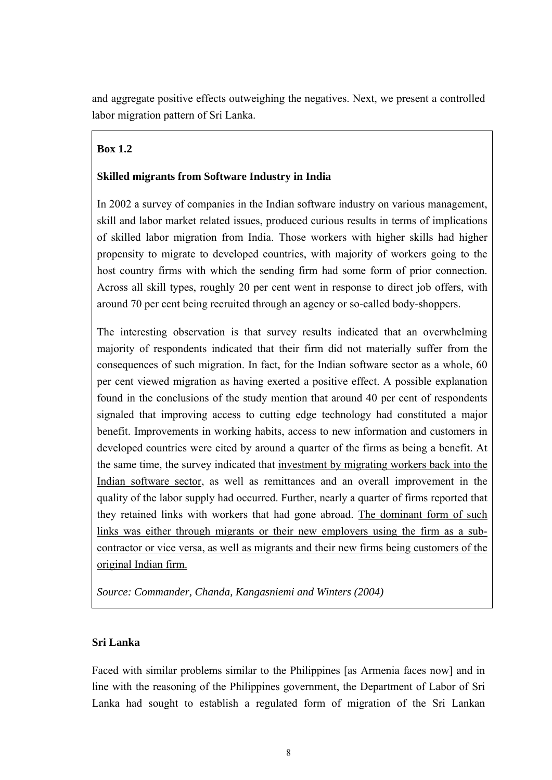and aggregate positive effects outweighing the negatives. Next, we present a controlled labor migration pattern of Sri Lanka.

# **Box 1.2**

# **Skilled migrants from Software Industry in India**

In 2002 a survey of companies in the Indian software industry on various management, skill and labor market related issues, produced curious results in terms of implications of skilled labor migration from India. Those workers with higher skills had higher propensity to migrate to developed countries, with majority of workers going to the host country firms with which the sending firm had some form of prior connection. Across all skill types, roughly 20 per cent went in response to direct job offers, with around 70 per cent being recruited through an agency or so-called body-shoppers.

The interesting observation is that survey results indicated that an overwhelming majority of respondents indicated that their firm did not materially suffer from the consequences of such migration. In fact, for the Indian software sector as a whole, 60 per cent viewed migration as having exerted a positive effect. A possible explanation found in the conclusions of the study mention that around 40 per cent of respondents signaled that improving access to cutting edge technology had constituted a major benefit. Improvements in working habits, access to new information and customers in developed countries were cited by around a quarter of the firms as being a benefit. At the same time, the survey indicated that investment by migrating workers back into the Indian software sector, as well as remittances and an overall improvement in the quality of the labor supply had occurred. Further, nearly a quarter of firms reported that they retained links with workers that had gone abroad. The dominant form of such links was either through migrants or their new employers using the firm as a subcontractor or vice versa, as well as migrants and their new firms being customers of the original Indian firm.

*Source: Commander, Chanda, Kangasniemi and Winters (2004)*

# **Sri Lanka**

Faced with similar problems similar to the Philippines [as Armenia faces now] and in line with the reasoning of the Philippines government, the Department of Labor of Sri Lanka had sought to establish a regulated form of migration of the Sri Lankan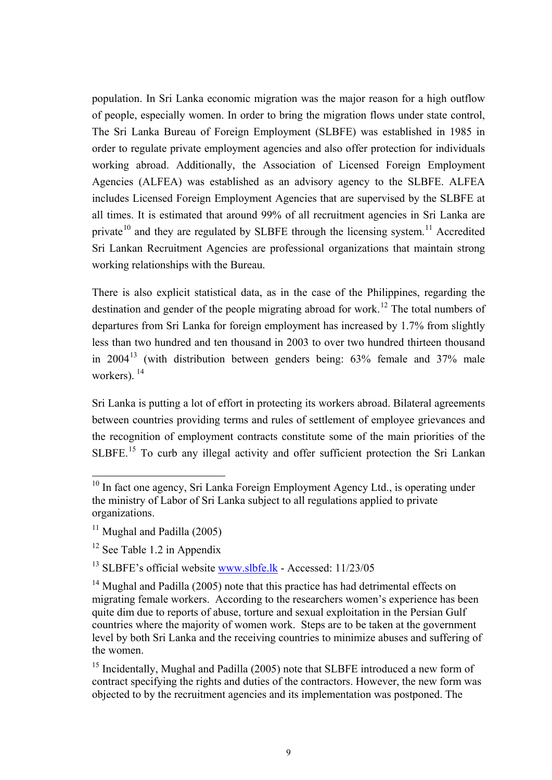<span id="page-8-0"></span>population. In Sri Lanka economic migration was the major reason for a high outflow of people, especially women. In order to bring the migration flows under state control, The Sri Lanka Bureau of Foreign Employment (SLBFE) was established in 1985 in order to regulate private employment agencies and also offer protection for individuals working abroad. Additionally, the Association of Licensed Foreign Employment Agencies (ALFEA) was established as an advisory agency to the SLBFE. ALFEA includes Licensed Foreign Employment Agencies that are supervised by the SLBFE at all times. It is estimated that around 99% of all recruitment agencies in Sri Lanka are private<sup>[1](#page-8-0)0</sup> and they are regulated by SLBFE through the licensing system.<sup>[11](#page-8-0)</sup> Accredited Sri Lankan Recruitment Agencies are professional organizations that maintain strong working relationships with the Bureau.

There is also explicit statistical data, as in the case of the Philippines, regarding the destination and gender of the people migrating abroad for work.<sup>[12](#page-8-0)</sup> The total numbers of departures from Sri Lanka for foreign employment has increased by 1.7% from slightly less than two hundred and ten thousand in 2003 to over two hundred thirteen thousand in  $2004<sup>13</sup>$  $2004<sup>13</sup>$  $2004<sup>13</sup>$  (with distribution between genders being: 63% female and 37% male workers).<sup>[1](#page-8-0)4</sup>

Sri Lanka is putting a lot of effort in protecting its workers abroad. Bilateral agreements between countries providing terms and rules of settlement of employee grievances and the recognition of employment contracts constitute some of the main priorities of the SLBFE.<sup>[15](#page-8-0)</sup> To curb any illegal activity and offer sufficient protection the Sri Lankan

 $\overline{a}$ 

<sup>13</sup> SLBFE's official website www.slbfe.lk - Accessed: 11/23/05

<sup>15</sup> Incidentally, Mughal and Padilla (2005) note that SLBFE introduced a new form of contract specifying the rights and duties of the contractors. However, the new form was objected to by the recruitment agencies and its implementation was postponed. The

<sup>&</sup>lt;sup>10</sup> In fact one agency, Sri Lanka Foreign Employment Agency Ltd., is operating under the ministry of Labor of Sri Lanka subject to all regulations applied to private organizations.

 $11$  Mughal and Padilla (2005)

 $12$  See Table 1.2 in Appendix

<sup>&</sup>lt;sup>14</sup> Mughal and Padilla (2005) note that this practice has had detrimental effects on migrating female workers. According to the researchers women's experience has been quite dim due to reports of abuse, torture and sexual exploitation in the Persian Gulf countries where the majority of women work. Steps are to be taken at the government level by both Sri Lanka and the receiving countries to minimize abuses and suffering of the women.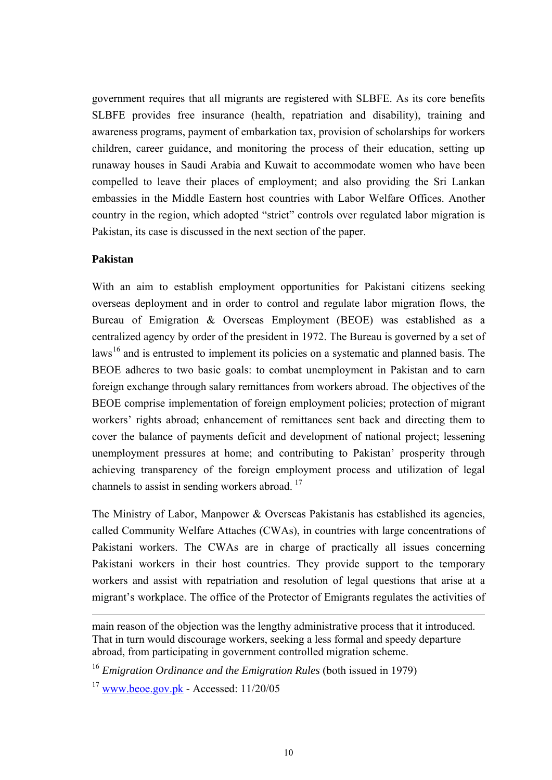<span id="page-9-0"></span>government requires that all migrants are registered with SLBFE. As its core benefits SLBFE provides free insurance (health, repatriation and disability), training and awareness programs, payment of embarkation tax, provision of scholarships for workers children, career guidance, and monitoring the process of their education, setting up runaway houses in Saudi Arabia and Kuwait to accommodate women who have been compelled to leave their places of employment; and also providing the Sri Lankan embassies in the Middle Eastern host countries with Labor Welfare Offices. Another country in the region, which adopted "strict" controls over regulated labor migration is Pakistan, its case is discussed in the next section of the paper.

## **Pakistan**

 $\overline{a}$ 

With an aim to establish employment opportunities for Pakistani citizens seeking overseas deployment and in order to control and regulate labor migration flows, the Bureau of Emigration & Overseas Employment (BEOE) was established as a centralized agency by order of the president in 1972. The Bureau is governed by a set of laws<sup>[16](#page-9-0)</sup> and is entrusted to implement its policies on a systematic and planned basis. The BEOE adheres to two basic goals: to combat unemployment in Pakistan and to earn foreign exchange through salary remittances from workers abroad. The objectives of the BEOE comprise implementation of foreign employment policies; protection of migrant workers' rights abroad; enhancement of remittances sent back and directing them to cover the balance of payments deficit and development of national project; lessening unemployment pressures at home; and contributing to Pakistan' prosperity through achieving transparency of the foreign employment process and utilization of legal channels to assist in sending workers abroad.  $17$  $17$ 

The Ministry of Labor, Manpower & Overseas Pakistanis has established its agencies, called Community Welfare Attaches (CWAs), in countries with large concentrations of Pakistani workers. The CWAs are in charge of practically all issues concerning Pakistani workers in their host countries. They provide support to the temporary workers and assist with repatriation and resolution of legal questions that arise at a migrant's workplace. The office of the Protector of Emigrants regulates the activities of

main reason of the objection was the lengthy administrative process that it introduced. That in turn would discourage workers, seeking a less formal and speedy departure abroad, from participating in government controlled migration scheme.

<sup>&</sup>lt;sup>16</sup> *Emigration Ordinance and the Emigration Rules* (both issued in 1979)

 $17$  www.beoe.gov.pk - Accessed:  $11/20/05$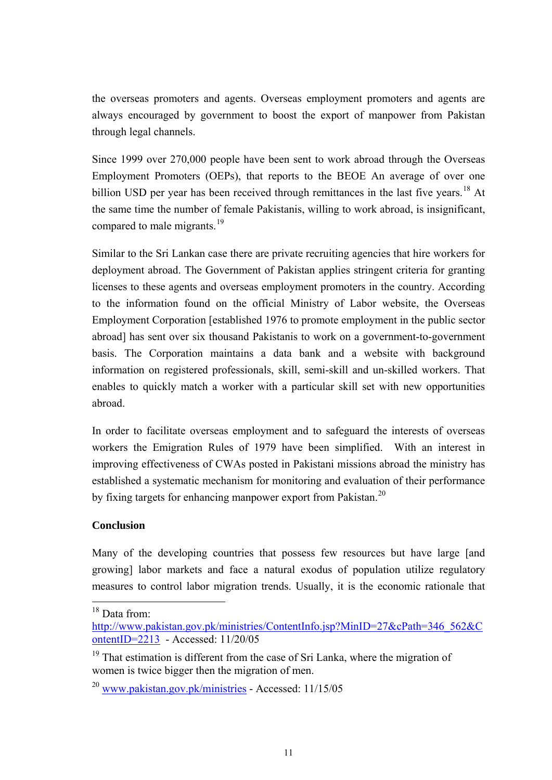<span id="page-10-0"></span>the overseas promoters and agents. Overseas employment promoters and agents are always encouraged by government to boost the export of manpower from Pakistan through legal channels.

Since 1999 over 270,000 people have been sent to work abroad through the Overseas Employment Promoters (OEPs), that reports to the BEOE An average of over one billion USD per year has been received through remittances in the last five years.<sup>[18](#page-10-0)</sup> At the same time the number of female Pakistanis, willing to work abroad, is insignificant, compared to male migrants.<sup>[19](#page-10-0)</sup>

Similar to the Sri Lankan case there are private recruiting agencies that hire workers for deployment abroad. The Government of Pakistan applies stringent criteria for granting licenses to these agents and overseas employment promoters in the country. According to the information found on the official Ministry of Labor website, the Overseas Employment Corporation [established 1976 to promote employment in the public sector abroad] has sent over six thousand Pakistanis to work on a government-to-government basis. The Corporation maintains a data bank and a website with background information on registered professionals, skill, semi-skill and un-skilled workers. That enables to quickly match a worker with a particular skill set with new opportunities abroad.

In order to facilitate overseas employment and to safeguard the interests of overseas workers the Emigration Rules of 1979 have been simplified. With an interest in improving effectiveness of CWAs posted in Pakistani missions abroad the ministry has established a systematic mechanism for monitoring and evaluation of their performance by fixing targets for enhancing manpower export from Pakistan.<sup>[2](#page-10-0)0</sup>

## **Conclusion**

Many of the developing countries that possess few resources but have large [and growing] labor markets and face a natural exodus of population utilize regulatory measures to control labor migration trends. Usually, it is the economic rationale that

<sup>&</sup>lt;sup>18</sup> Data from:

http://www.pakistan.gov.pk/ministries/ContentInfo.jsp?MinID=27&cPath=346\_562&C ontentID=2213 - Accessed: 11/20/05

 $19$  That estimation is different from the case of Sri Lanka, where the migration of women is twice bigger then the migration of men.

 $^{20}$  www.pakistan.gov.pk/ministries - Accessed: 11/15/05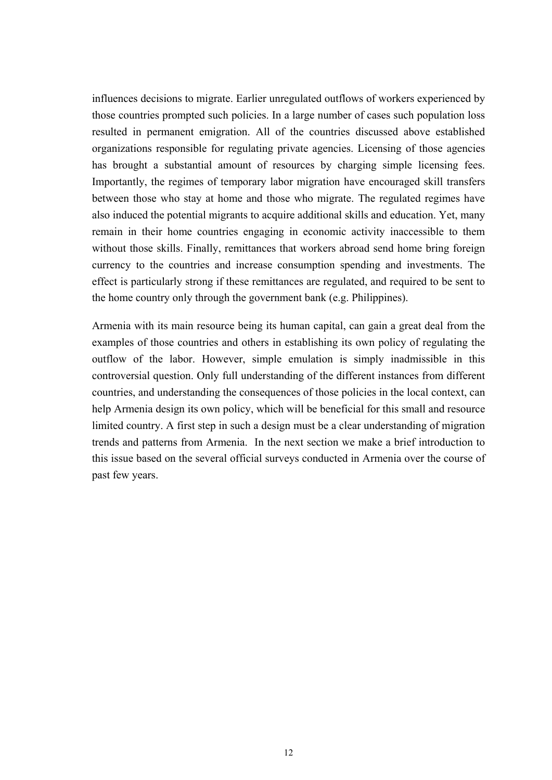influences decisions to migrate. Earlier unregulated outflows of workers experienced by those countries prompted such policies. In a large number of cases such population loss resulted in permanent emigration. All of the countries discussed above established organizations responsible for regulating private agencies. Licensing of those agencies has brought a substantial amount of resources by charging simple licensing fees. Importantly, the regimes of temporary labor migration have encouraged skill transfers between those who stay at home and those who migrate. The regulated regimes have also induced the potential migrants to acquire additional skills and education. Yet, many remain in their home countries engaging in economic activity inaccessible to them without those skills. Finally, remittances that workers abroad send home bring foreign currency to the countries and increase consumption spending and investments. The effect is particularly strong if these remittances are regulated, and required to be sent to the home country only through the government bank (e.g. Philippines).

Armenia with its main resource being its human capital, can gain a great deal from the examples of those countries and others in establishing its own policy of regulating the outflow of the labor. However, simple emulation is simply inadmissible in this controversial question. Only full understanding of the different instances from different countries, and understanding the consequences of those policies in the local context, can help Armenia design its own policy, which will be beneficial for this small and resource limited country. A first step in such a design must be a clear understanding of migration trends and patterns from Armenia. In the next section we make a brief introduction to this issue based on the several official surveys conducted in Armenia over the course of past few years.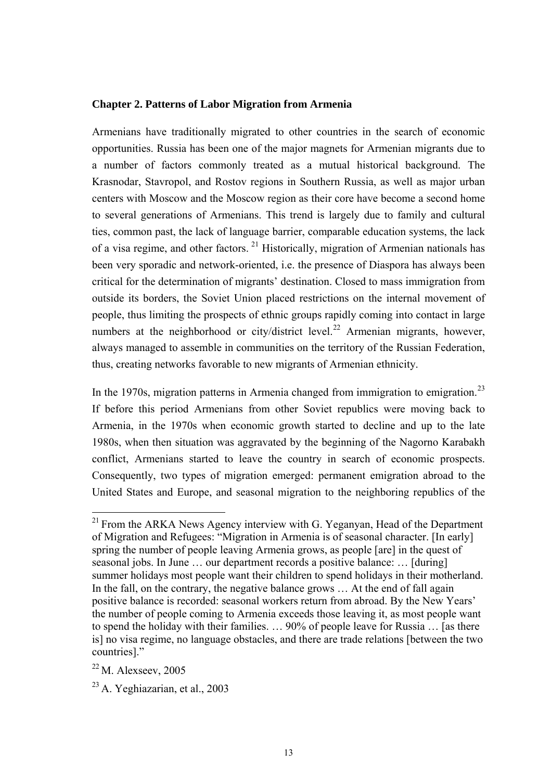#### <span id="page-12-0"></span>**Chapter 2. Patterns of Labor Migration from Armenia**

Armenians have traditionally migrated to other countries in the search of economic opportunities. Russia has been one of the major magnets for Armenian migrants due to a number of factors commonly treated as a mutual historical background. The Krasnodar, Stavropol, and Rostov regions in Southern Russia, as well as major urban centers with Moscow and the Moscow region as their core have become a second home to several generations of Armenians. This trend is largely due to family and cultural ties, common past, the lack of language barrier, comparable education systems, the lack of a visa regime, and other factors. [2](#page-12-0)1 Historically, migration of Armenian nationals has been very sporadic and network-oriented, i.e. the presence of Diaspora has always been critical for the determination of migrants' destination. Closed to mass immigration from outside its borders, the Soviet Union placed restrictions on the internal movement of people, thus limiting the prospects of ethnic groups rapidly coming into contact in large numbers at the neighborhood or city/district level.<sup>[2](#page-12-0)2</sup> Armenian migrants, however, always managed to assemble in communities on the territory of the Russian Federation, thus, creating networks favorable to new migrants of Armenian ethnicity.

In the 1970s, migration patterns in Armenia changed from immigration to emigration.<sup>[2](#page-12-0)3</sup> If before this period Armenians from other Soviet republics were moving back to Armenia, in the 1970s when economic growth started to decline and up to the late 1980s, when then situation was aggravated by the beginning of the Nagorno Karabakh conflict, Armenians started to leave the country in search of economic prospects. Consequently, two types of migration emerged: permanent emigration abroad to the United States and Europe, and seasonal migration to the neighboring republics of the

 $21$  From the ARKA News Agency interview with G. Yeganyan, Head of the Department of Migration and Refugees: "Migration in Armenia is of seasonal character. [In early] spring the number of people leaving Armenia grows, as people [are] in the quest of seasonal jobs. In June … our department records a positive balance: … [during] summer holidays most people want their children to spend holidays in their motherland. In the fall, on the contrary, the negative balance grows ... At the end of fall again positive balance is recorded: seasonal workers return from abroad. By the New Years' the number of people coming to Armenia exceeds those leaving it, as most people want to spend the holiday with their families. … 90% of people leave for Russia … [as there is] no visa regime, no language obstacles, and there are trade relations [between the two countries]."

 $22$  M. Alexseev, 2005

<sup>23</sup> A. Yeghiazarian, et al., 2003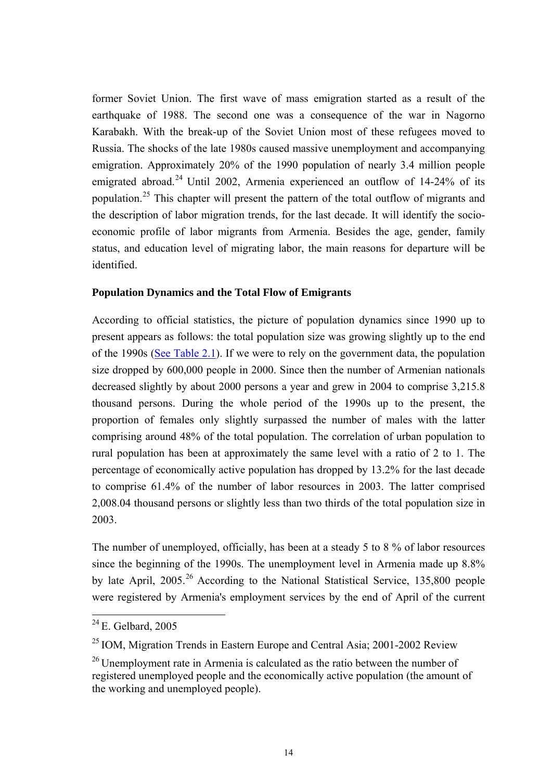<span id="page-13-0"></span>former Soviet Union. The first wave of mass emigration started as a result of the earthquake of 1988. The second one was a consequence of the war in Nagorno Karabakh. With the break-up of the Soviet Union most of these refugees moved to Russia. The shocks of the late 1980s caused massive unemployment and accompanying emigration. Approximately 20% of the 1990 population of nearly 3.4 million people emigrated abroad.<sup>[2](#page-13-0)4</sup> Until 2002, Armenia experienced an outflow of  $14-24\%$  of its population.[2](#page-13-0)5 This chapter will present the pattern of the total outflow of migrants and the description of labor migration trends, for the last decade. It will identify the socioeconomic profile of labor migrants from Armenia. Besides the age, gender, family status, and education level of migrating labor, the main reasons for departure will be identified.

### **Population Dynamics and the Total Flow of Emigrants**

According to official statistics, the picture of population dynamics since 1990 up to present appears as follows: the total population size was growing slightly up to the end of the 1990s ([See Table 2.1](#page-56-0)). If we were to rely on the government data, the population size dropped by 600,000 people in 2000. Since then the number of Armenian nationals decreased slightly by about 2000 persons a year and grew in 2004 to comprise 3,215.8 thousand persons. During the whole period of the 1990s up to the present, the proportion of females only slightly surpassed the number of males with the latter comprising around 48% of the total population. The correlation of urban population to rural population has been at approximately the same level with a ratio of 2 to 1. The percentage of economically active population has dropped by 13.2% for the last decade to comprise 61.4% of the number of labor resources in 2003. The latter comprised 2,008.04 thousand persons or slightly less than two thirds of the total population size in 2003.

The number of unemployed, officially, has been at a steady 5 to 8 % of labor resources since the beginning of the 1990s. The unemployment level in Armenia made up 8.8% by late April, [2](#page-13-0)005.<sup>26</sup> According to the National Statistical Service, 135,800 people were registered by Armenia's employment services by the end of April of the current

 $24$  E. Gelbard, 2005

 $25$  IOM, Migration Trends in Eastern Europe and Central Asia; 2001-2002 Review

 $26$  Unemployment rate in Armenia is calculated as the ratio between the number of registered unemployed people and the economically active population (the amount of the working and unemployed people).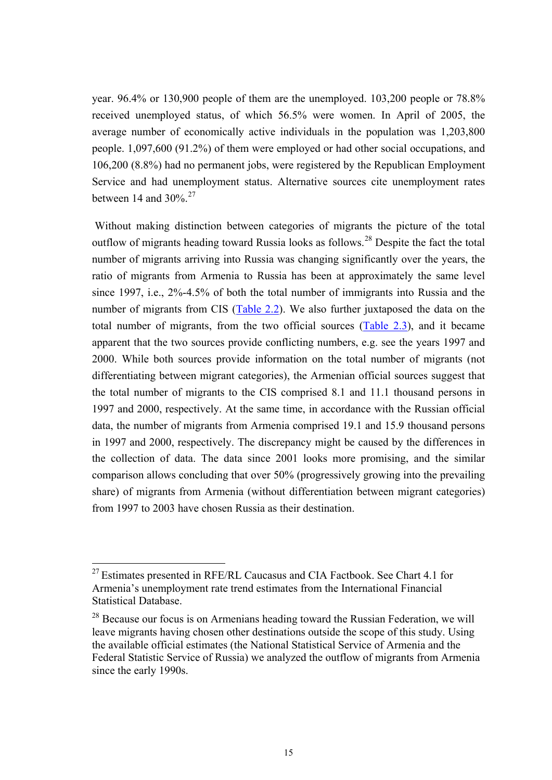<span id="page-14-0"></span>year. 96.4% or 130,900 people of them are the unemployed. 103,200 people or 78.8% received unemployed status, of which 56.5% were women. In April of 2005, the average number of economically active individuals in the population was 1,203,800 people. 1,097,600 (91.2%) of them were employed or had other social occupations, and 106,200 (8.8%) had no permanent jobs, were registered by the Republican Employment Service and had unemployment status. Alternative sources cite unemployment rates between 14 and  $30\%$ <sup>[2](#page-14-0)7</sup>

 Without making distinction between categories of migrants the picture of the total outflow of migrants heading toward Russia looks as follows.<sup>[28](#page-14-0)</sup> Despite the fact the total number of migrants arriving into Russia was changing significantly over the years, the ratio of migrants from Armenia to Russia has been at approximately the same level since 1997, i.e., 2%-4.5% of both the total number of immigrants into Russia and the number of migrants from CIS ([Table 2.2](#page-56-0)). We also further juxtaposed the data on the total number of migrants, from the two official sources ([Table 2.3](#page-56-0)), and it became apparent that the two sources provide conflicting numbers, e.g. see the years 1997 and 2000. While both sources provide information on the total number of migrants (not differentiating between migrant categories), the Armenian official sources suggest that the total number of migrants to the CIS comprised 8.1 and 11.1 thousand persons in 1997 and 2000, respectively. At the same time, in accordance with the Russian official data, the number of migrants from Armenia comprised 19.1 and 15.9 thousand persons in 1997 and 2000, respectively. The discrepancy might be caused by the differences in the collection of data. The data since 2001 looks more promising, and the similar comparison allows concluding that over 50% (progressively growing into the prevailing share) of migrants from Armenia (without differentiation between migrant categories) from 1997 to 2003 have chosen Russia as their destination.

 $^{27}$  Estimates presented in RFE/RL Caucasus and CIA Factbook. See Chart 4.1 for Armenia's unemployment rate trend estimates from the International Financial Statistical Database.

<sup>&</sup>lt;sup>28</sup> Because our focus is on Armenians heading toward the Russian Federation, we will leave migrants having chosen other destinations outside the scope of this study. Using the available official estimates (the National Statistical Service of Armenia and the Federal Statistic Service of Russia) we analyzed the outflow of migrants from Armenia since the early 1990s.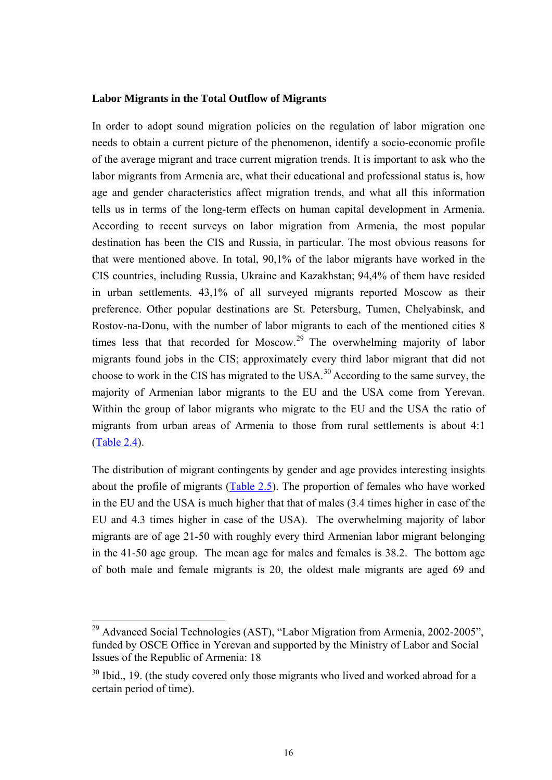### <span id="page-15-0"></span>**Labor Migrants in the Total Outflow of Migrants**

In order to adopt sound migration policies on the regulation of labor migration one needs to obtain a current picture of the phenomenon, identify a socio-economic profile of the average migrant and trace current migration trends. It is important to ask who the labor migrants from Armenia are, what their educational and professional status is, how age and gender characteristics affect migration trends, and what all this information tells us in terms of the long-term effects on human capital development in Armenia. According to recent surveys on labor migration from Armenia, the most popular destination has been the CIS and Russia, in particular. The most obvious reasons for that were mentioned above. In total, 90,1% of the labor migrants have worked in the CIS countries, including Russia, Ukraine and Kazakhstan; 94,4% of them have resided in urban settlements. 43,1% of all surveyed migrants reported Moscow as their preference. Other popular destinations are St. Petersburg, Tumen, Chelyabinsk, and Rostov-na-Donu, with the number of labor migrants to each of the mentioned cities 8 times less that that recorded for Moscow.<sup>[29](#page-15-0)</sup> The overwhelming majority of labor migrants found jobs in the CIS; approximately every third labor migrant that did not choose to work in the CIS has migrated to the USA.<sup>[3](#page-15-0)0</sup> According to the same survey, the majority of Armenian labor migrants to the EU and the USA come from Yerevan. Within the group of labor migrants who migrate to the EU and the USA the ratio of migrants from urban areas of Armenia to those from rural settlements is about 4:1 [\(Table 2.4\)](#page-56-0).

The distribution of migrant contingents by gender and age provides interesting insights about the profile of migrants ([Table 2.5\)](#page-56-0). The proportion of females who have worked in the EU and the USA is much higher that that of males (3.4 times higher in case of the EU and 4.3 times higher in case of the USA). The overwhelming majority of labor migrants are of age 21-50 with roughly every third Armenian labor migrant belonging in the 41-50 age group. The mean age for males and females is 38.2. The bottom age of both male and female migrants is 20, the oldest male migrants are aged 69 and

<sup>&</sup>lt;sup>29</sup> Advanced Social Technologies (AST), "Labor Migration from Armenia, 2002-2005", funded by OSCE Office in Yerevan and supported by the Ministry of Labor and Social Issues of the Republic of Armenia: 18

 $30$  Ibid., 19. (the study covered only those migrants who lived and worked abroad for a certain period of time).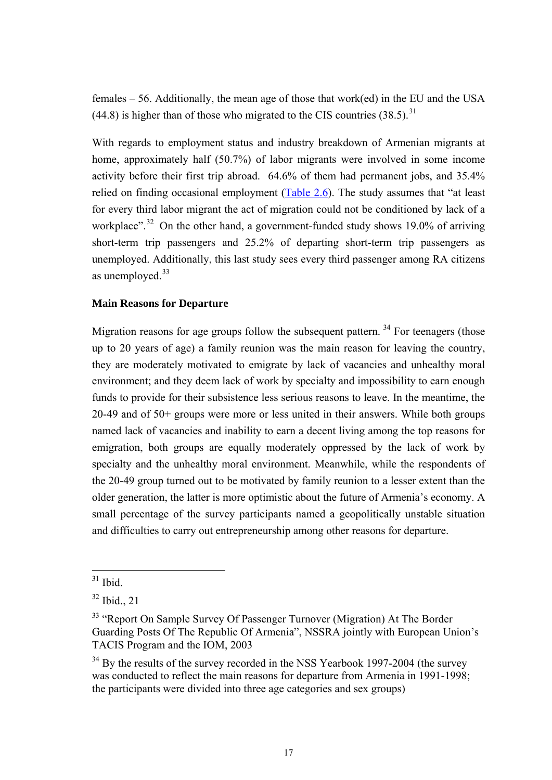<span id="page-16-0"></span>females – 56. Additionally, the mean age of those that work(ed) in the EU and the USA  $(44.8)$  is higher than of those who migrated to the CIS countries  $(38.5)$  $(38.5)$  $(38.5)$ <sup>31</sup>

With regards to employment status and industry breakdown of Armenian migrants at home, approximately half (50.7%) of labor migrants were involved in some income activity before their first trip abroad. 64.6% of them had permanent jobs, and 35.4% relied on finding occasional employment ([Table 2.6\)](#page-56-0). The study assumes that "at least for every third labor migrant the act of migration could not be conditioned by lack of a workplace".<sup>[3](#page-16-0)2</sup> On the other hand, a government-funded study shows 19.0% of arriving short-term trip passengers and 25.2% of departing short-term trip passengers as unemployed. Additionally, this last study sees every third passenger among RA citizens as unemployed.<sup>[3](#page-16-0)3</sup>

### **Main Reasons for Departure**

Migration reasons for age groups follow the subsequent pattern.  $34$  $34$  For teenagers (those up to 20 years of age) a family reunion was the main reason for leaving the country, they are moderately motivated to emigrate by lack of vacancies and unhealthy moral environment; and they deem lack of work by specialty and impossibility to earn enough funds to provide for their subsistence less serious reasons to leave. In the meantime, the 20-49 and of 50+ groups were more or less united in their answers. While both groups named lack of vacancies and inability to earn a decent living among the top reasons for emigration, both groups are equally moderately oppressed by the lack of work by specialty and the unhealthy moral environment. Meanwhile, while the respondents of the 20-49 group turned out to be motivated by family reunion to a lesser extent than the older generation, the latter is more optimistic about the future of Armenia's economy. A small percentage of the survey participants named a geopolitically unstable situation and difficulties to carry out entrepreneurship among other reasons for departure.

 $31$  Ibid.

 $32$  Ibid., 21

<sup>&</sup>lt;sup>33</sup> "Report On Sample Survey Of Passenger Turnover (Migration) At The Border Guarding Posts Of The Republic Of Armenia", NSSRA jointly with European Union's TACIS Program and the IOM, 2003

 $34$  By the results of the survey recorded in the NSS Yearbook 1997-2004 (the survey was conducted to reflect the main reasons for departure from Armenia in 1991-1998; the participants were divided into three age categories and sex groups)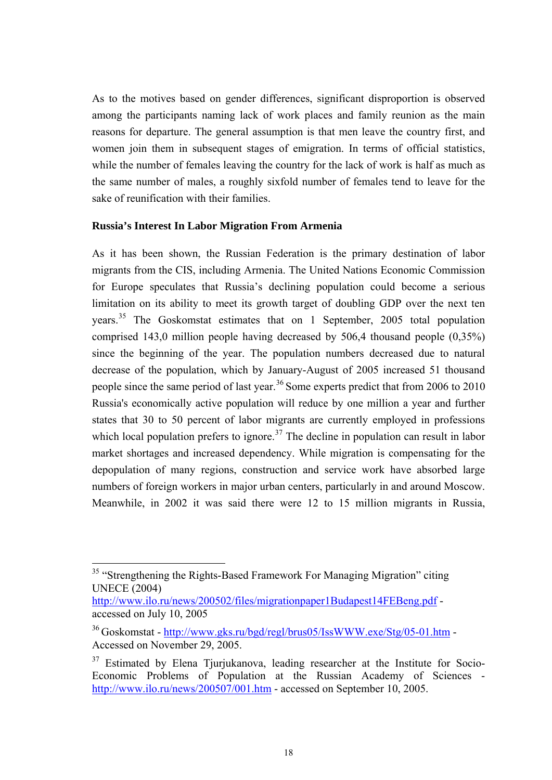<span id="page-17-0"></span>As to the motives based on gender differences, significant disproportion is observed among the participants naming lack of work places and family reunion as the main reasons for departure. The general assumption is that men leave the country first, and women join them in subsequent stages of emigration. In terms of official statistics, while the number of females leaving the country for the lack of work is half as much as the same number of males, a roughly sixfold number of females tend to leave for the sake of reunification with their families.

### **Russia's Interest In Labor Migration From Armenia**

As it has been shown, the Russian Federation is the primary destination of labor migrants from the CIS, including Armenia. The United Nations Economic Commission for Europe speculates that Russia's declining population could become a serious limitation on its ability to meet its growth target of doubling GDP over the next ten years.[3](#page-17-0)5 The Goskomstat estimates that on 1 September, 2005 total population comprised 143,0 million people having decreased by 506,4 thousand people (0,35%) since the beginning of the year. The population numbers decreased due to natural decrease of the population, which by January-August of 2005 increased 51 thousand people since the same period of last year.<sup>[3](#page-17-0)6</sup> Some experts predict that from 2006 to 2010 Russia's economically active population will reduce by one million a year and further states that 30 to 50 percent of labor migrants are currently employed in professions which local population prefers to ignore.<sup>[37](#page-17-0)</sup> The decline in population can result in labor market shortages and increased dependency. While migration is compensating for the depopulation of many regions, construction and service work have absorbed large numbers of foreign workers in major urban centers, particularly in and around Moscow. Meanwhile, in 2002 it was said there were 12 to 15 million migrants in Russia,

<sup>&</sup>lt;sup>35</sup> "Strengthening the Rights-Based Framework For Managing Migration" citing UNECE (2004)

http://www.ilo.ru/news/200502/files/migrationpaper1Budapest14FEBeng.pdf accessed on July 10, 2005

<sup>&</sup>lt;sup>36</sup> Goskomstat - http://www.gks.ru/bgd/regl/brus05/IssWWW.exe/Stg/05-01.htm -Accessed on November 29, 2005.

<sup>&</sup>lt;sup>37</sup> Estimated by Elena Tjurjukanova, leading researcher at the Institute for Socio-Economic Problems of Population at the Russian Academy of Sciences http://www.ilo.ru/news/200507/001.htm - accessed on September 10, 2005.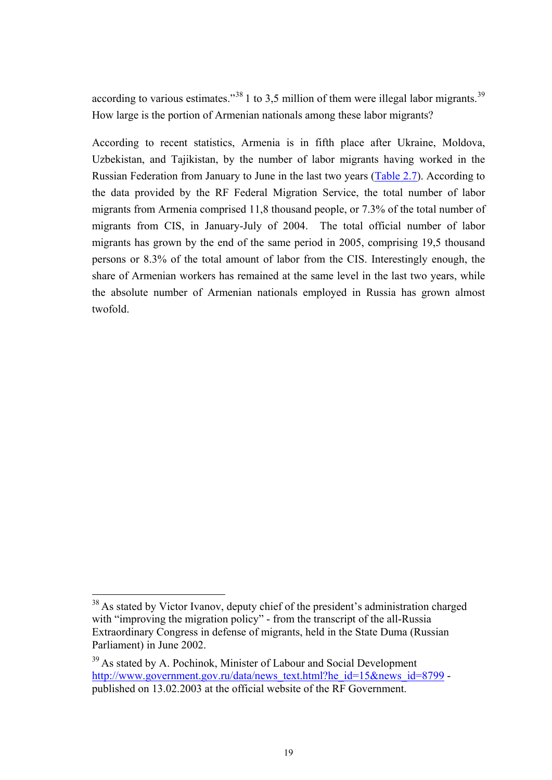<span id="page-18-0"></span>according to various estimates.<sup>[3](#page-18-0)8</sup> 1 to 3.5 million of them were illegal labor migrants.<sup>39</sup> How large is the portion of Armenian nationals among these labor migrants?

According to recent statistics, Armenia is in fifth place after Ukraine, Moldova, Uzbekistan, and Tajikistan, by the number of labor migrants having worked in the Russian Federation from January to June in the last two years [\(Table 2.7\)](#page-56-0). According to the data provided by the RF Federal Migration Service, the total number of labor migrants from Armenia comprised 11,8 thousand people, or 7.3% of the total number of migrants from CIS, in January-July of 2004. The total official number of labor migrants has grown by the end of the same period in 2005, comprising 19,5 thousand persons or 8.3% of the total amount of labor from the CIS. Interestingly enough, the share of Armenian workers has remained at the same level in the last two years, while the absolute number of Armenian nationals employed in Russia has grown almost twofold.

 $38$  As stated by Victor Ivanov, deputy chief of the president's administration charged with "improving the migration policy" - from the transcript of the all-Russia Extraordinary Congress in defense of migrants, held in the State Duma (Russian Parliament) in June 2002.

<sup>&</sup>lt;sup>39</sup> As stated by A. Pochinok, Minister of Labour and Social Development http://www.government.gov.ru/data/news\_text.html?he\_id=15&news\_id=8799 published on 13.02.2003 at the official website of the RF Government.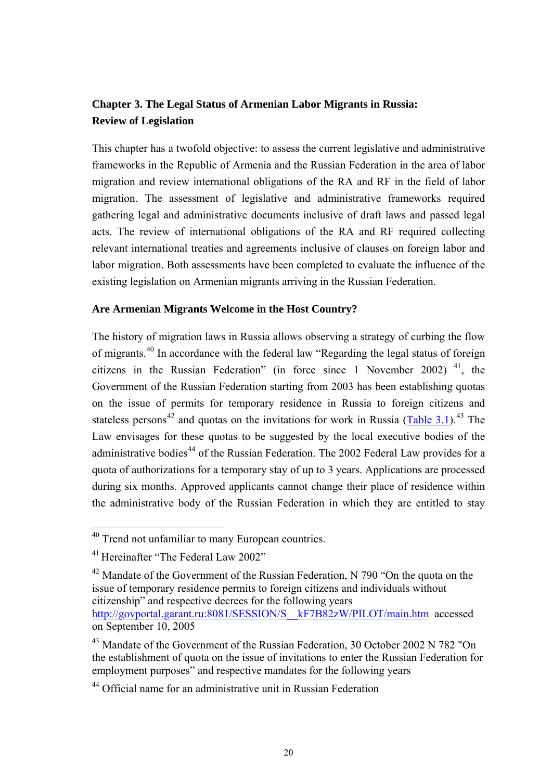# <span id="page-19-0"></span>**Chapter 3. The Legal Status of Armenian Labor Migrants in Russia: Review of Legislation**

This chapter has a twofold objective: to assess the current legislative and administrative frameworks in the Republic of Armenia and the Russian Federation in the area of labor migration and review international obligations of the RA and RF in the field of labor migration. The assessment of legislative and administrative frameworks required gathering legal and administrative documents inclusive of draft laws and passed legal acts. The review of international obligations of the RA and RF required collecting relevant international treaties and agreements inclusive of clauses on foreign labor and labor migration. Both assessments have been completed to evaluate the influence of the existing legislation on Armenian migrants arriving in the Russian Federation.

## **Are Armenian Migrants Welcome in the Host Country?**

The history of migration laws in Russia allows observing a strategy of curbing the flow of migrants.[4](#page-19-0)0 In accordance with the federal law "Regarding the legal status of foreign citizens in the Russian Federation" (in force since 1 November 2002)  $^{41}$  $^{41}$  $^{41}$ , the Government of the Russian Federation starting from 2003 has been establishing quotas on the issue of permits for temporary residence in Russia to foreign citizens and stateless persons<sup>[4](#page-19-0)2</sup> and quotas on the invitations for work in Russia ([Table 3.1](#page-56-0)).<sup>[43](#page-19-0)</sup> The Law envisages for these quotas to be suggested by the local executive bodies of the administrative bodies<sup>[44](#page-19-0)</sup> of the Russian Federation. The 2002 Federal Law provides for a quota of authorizations for a temporary stay of up to 3 years. Applications are processed during six months. Approved applicants cannot change their place of residence within the administrative body of the Russian Federation in which they are entitled to stay

<sup>&</sup>lt;sup>40</sup> Trend not unfamiliar to many European countries.

<sup>41</sup> Hereinafter "The Federal Law 2002"

<sup>&</sup>lt;sup>42</sup> Mandate of the Government of the Russian Federation, N 790 "On the quota on the issue of temporary residence permits to foreign citizens and individuals without citizenship" and respective decrees for the following years http://govportal.garant.ru:8081/SESSION/S\_\_kF7B82zW/PILOT/main.htm accessed on September 10, 2005

<sup>43</sup> Mandate of the Government of the Russian Federation, 30 October 2002 N 782 "On the establishment of quota on the issue of invitations to enter the Russian Federation for employment purposes" and respective mandates for the following years

<sup>44</sup> Official name for an administrative unit in Russian Federation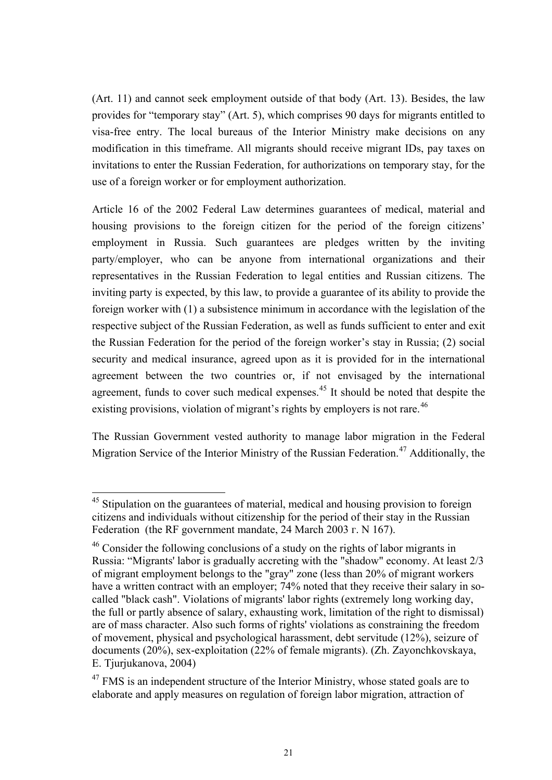<span id="page-20-0"></span>(Art. 11) and cannot seek employment outside of that body (Art. 13). Besides, the law provides for "temporary stay" (Art. 5), which comprises 90 days for migrants entitled to visa-free entry. The local bureaus of the Interior Ministry make decisions on any modification in this timeframe. All migrants should receive migrant IDs, pay taxes on invitations to enter the Russian Federation, for authorizations on temporary stay, for the use of a foreign worker or for employment authorization.

Article 16 of the 2002 Federal Law determines guarantees of medical, material and housing provisions to the foreign citizen for the period of the foreign citizens' employment in Russia. Such guarantees are pledges written by the inviting party/employer, who can be anyone from international organizations and their representatives in the Russian Federation to legal entities and Russian citizens. The inviting party is expected, by this law, to provide a guarantee of its ability to provide the foreign worker with (1) a subsistence minimum in accordance with the legislation of the respective subject of the Russian Federation, as well as funds sufficient to enter and exit the Russian Federation for the period of the foreign worker's stay in Russia; (2) social security and medical insurance, agreed upon as it is provided for in the international agreement between the two countries or, if not envisaged by the international agreement, funds to cover such medical expenses.<sup>[45](#page-20-0)</sup> It should be noted that despite the existing provisions, violation of migrant's rights by employers is not rare.<sup>[46](#page-20-0)</sup>

The Russian Government vested authority to manage labor migration in the Federal Migration Service of the Interior Ministry of the Russian Federation.<sup>[47](#page-20-0)</sup> Additionally, the

<sup>&</sup>lt;sup>45</sup> Stipulation on the guarantees of material, medical and housing provision to foreign citizens and individuals without citizenship for the period of their stay in the Russian Federation (the RF government mandate, 24 March 2003 г. N 167).

<sup>46</sup> Consider the following conclusions of a study on the rights of labor migrants in Russia: "Migrants' labor is gradually accreting with the "shadow" economy. At least 2/3 of migrant employment belongs to the "gray" zone (less than 20% of migrant workers have a written contract with an employer; 74% noted that they receive their salary in socalled "black cash". Violations of migrants' labor rights (extremely long working day, the full or partly absence of salary, exhausting work, limitation of the right to dismissal) are of mass character. Also such forms of rights' violations as constraining the freedom of movement, physical and psychological harassment, debt servitude (12%), seizure of documents (20%), sex-exploitation (22% of female migrants). (Zh. Zayonchkovskaya, E. Tjurjukanova, 2004)

 $47$  FMS is an independent structure of the Interior Ministry, whose stated goals are to elaborate and apply measures on regulation of foreign labor migration, attraction of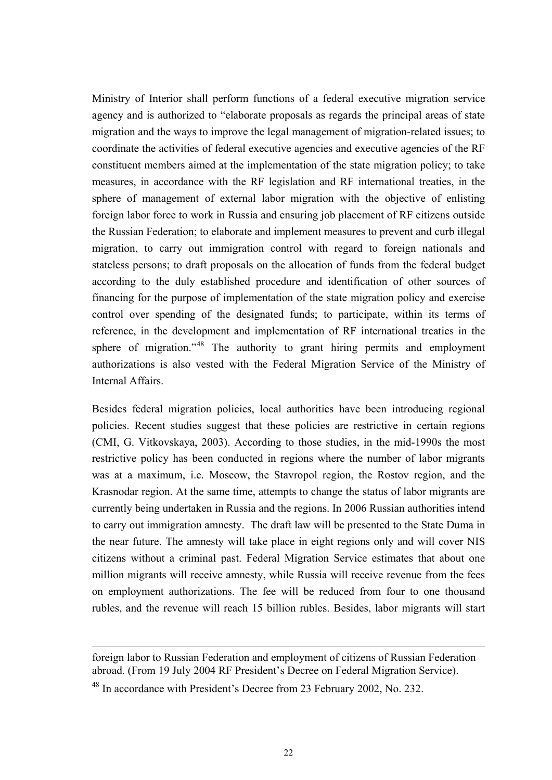<span id="page-21-0"></span>Ministry of Interior shall perform functions of a federal executive migration service agency and is authorized to "elaborate proposals as regards the principal areas of state migration and the ways to improve the legal management of migration-related issues; to coordinate the activities of federal executive agencies and executive agencies of the RF constituent members aimed at the implementation of the state migration policy; to take measures, in accordance with the RF legislation and RF international treaties, in the sphere of management of external labor migration with the objective of enlisting foreign labor force to work in Russia and ensuring job placement of RF citizens outside the Russian Federation; to elaborate and implement measures to prevent and curb illegal migration, to carry out immigration control with regard to foreign nationals and stateless persons; to draft proposals on the allocation of funds from the federal budget according to the duly established procedure and identification of other sources of financing for the purpose of implementation of the state migration policy and exercise control over spending of the designated funds; to participate, within its terms of reference, in the development and implementation of RF international treaties in the sphere of migration."<sup>[4](#page-21-0)8</sup> The authority to grant hiring permits and employment authorizations is also vested with the Federal Migration Service of the Ministry of Internal Affairs.

Besides federal migration policies, local authorities have been introducing regional policies. Recent studies suggest that these policies are restrictive in certain regions (CMI, G. Vitkovskaya, 2003). According to those studies, in the mid-1990s the most restrictive policy has been conducted in regions where the number of labor migrants was at a maximum, i.e. Moscow, the Stavropol region, the Rostov region, and the Krasnodar region. At the same time, attempts to change the status of labor migrants are currently being undertaken in Russia and the regions. In 2006 Russian authorities intend to carry out immigration amnesty. The draft law will be presented to the State Duma in the near future. The amnesty will take place in eight regions only and will cover NIS citizens without a criminal past. Federal Migration Service estimates that about one million migrants will receive amnesty, while Russia will receive revenue from the fees on employment authorizations. The fee will be reduced from four to one thousand rubles, and the revenue will reach 15 billion rubles. Besides, labor migrants will start

foreign labor to Russian Federation and employment of citizens of Russian Federation abroad. (From 19 July 2004 RF President's Decree on Federal Migration Service).

<sup>48</sup> In accordance with President's Decree from 23 February 2002, No. 232.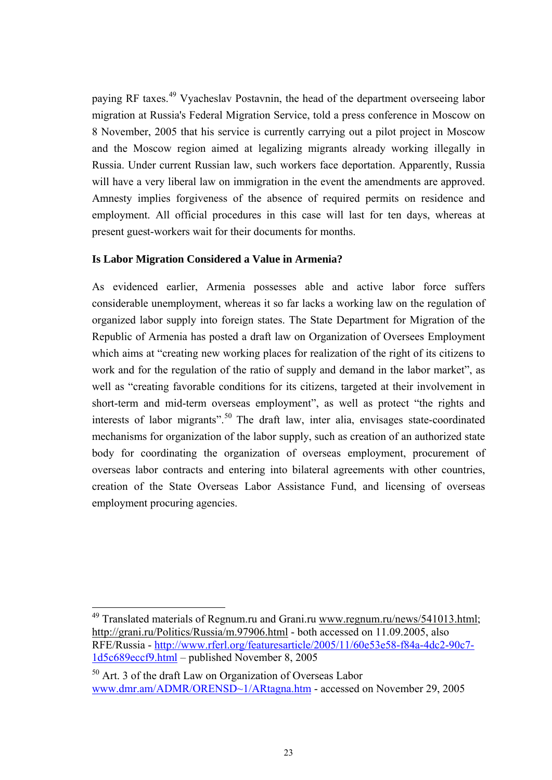<span id="page-22-0"></span>paying RF taxes.<sup>[4](#page-22-0)9</sup> Vyacheslav Postavnin, the head of the department overseeing labor migration at Russia's Federal Migration Service, told a press conference in Moscow on 8 November, 2005 that his service is currently carrying out a pilot project in Moscow and the Moscow region aimed at legalizing migrants already working illegally in Russia. Under current Russian law, such workers face deportation. Apparently, Russia will have a very liberal law on immigration in the event the amendments are approved. Amnesty implies forgiveness of the absence of required permits on residence and employment. All official procedures in this case will last for ten days, whereas at present guest-workers wait for their documents for months.

## **Is Labor Migration Considered a Value in Armenia?**

 $\overline{a}$ 

As evidenced earlier, Armenia possesses able and active labor force suffers considerable unemployment, whereas it so far lacks a working law on the regulation of organized labor supply into foreign states. The State Department for Migration of the Republic of Armenia has posted a draft law on Organization of Oversees Employment which aims at "creating new working places for realization of the right of its citizens to work and for the regulation of the ratio of supply and demand in the labor market", as well as "creating favorable conditions for its citizens, targeted at their involvement in short-term and mid-term overseas employment", as well as protect "the rights and interests of labor migrants".<sup>[5](#page-22-0)0</sup> The draft law, inter alia, envisages state-coordinated mechanisms for organization of the labor supply, such as creation of an authorized state body for coordinating the organization of overseas employment, procurement of overseas labor contracts and entering into bilateral agreements with other countries, creation of the State Overseas Labor Assistance Fund, and licensing of overseas employment procuring agencies.

 $49$  Translated materials of Regnum.ru and Grani.ru www.regnum.ru/news/541013.html; http://grani.ru/Politics/Russia/m.97906.html - both accessed on 11.09.2005, also RFE/Russia - http://www.rferl.org/featuresarticle/2005/11/60e53e58-f84a-4dc2-90c7- 1d5c689eccf9.html – published November 8, 2005

 $50$  Art. 3 of the draft Law on Organization of Overseas Labor www.dmr.am/ADMR/ORENSD~1/ARtagna.htm - accessed on November 29, 2005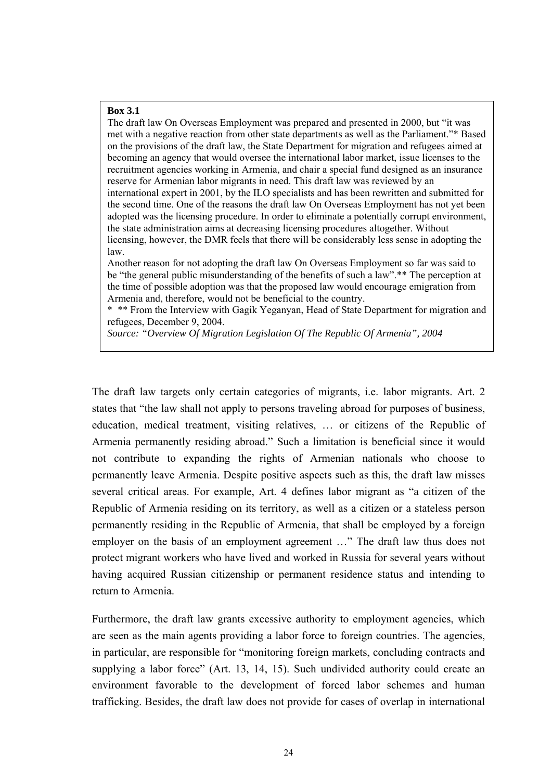#### **Box 3.1**

The draft law On Overseas Employment was prepared and presented in 2000, but "it was met with a negative reaction from other state departments as well as the Parliament."\* Based on the provisions of the draft law, the State Department for migration and refugees aimed at becoming an agency that would oversee the international labor market, issue licenses to the recruitment agencies working in Armenia, and chair a special fund designed as an insurance reserve for Armenian labor migrants in need. This draft law was reviewed by an international expert in 2001, by the ILO specialists and has been rewritten and submitted for the second time. One of the reasons the draft law On Overseas Employment has not yet been adopted was the licensing procedure. In order to eliminate a potentially corrupt environment, the state administration aims at decreasing licensing procedures altogether. Without licensing, however, the DMR feels that there will be considerably less sense in adopting the law.

Another reason for not adopting the draft law On Overseas Employment so far was said to be "the general public misunderstanding of the benefits of such a law".\*\* The perception at the time of possible adoption was that the proposed law would encourage emigration from Armenia and, therefore, would not be beneficial to the country.

\* \*\* From the Interview with Gagik Yeganyan, Head of State Department for migration and refugees, December 9, 2004.

*Source: "Overview Of Migration Legislation Of The Republic Of Armenia", 2004* 

The draft law targets only certain categories of migrants, i.e. labor migrants. Art. 2 states that "the law shall not apply to persons traveling abroad for purposes of business, education, medical treatment, visiting relatives, … or citizens of the Republic of Armenia permanently residing abroad." Such a limitation is beneficial since it would not contribute to expanding the rights of Armenian nationals who choose to permanently leave Armenia. Despite positive aspects such as this, the draft law misses several critical areas. For example, Art. 4 defines labor migrant as "a citizen of the Republic of Armenia residing on its territory, as well as a citizen or a stateless person permanently residing in the Republic of Armenia, that shall be employed by a foreign employer on the basis of an employment agreement …" The draft law thus does not protect migrant workers who have lived and worked in Russia for several years without having acquired Russian citizenship or permanent residence status and intending to return to Armenia.

Furthermore, the draft law grants excessive authority to employment agencies, which are seen as the main agents providing a labor force to foreign countries. The agencies, in particular, are responsible for "monitoring foreign markets, concluding contracts and supplying a labor force" (Art. 13, 14, 15). Such undivided authority could create an environment favorable to the development of forced labor schemes and human trafficking. Besides, the draft law does not provide for cases of overlap in international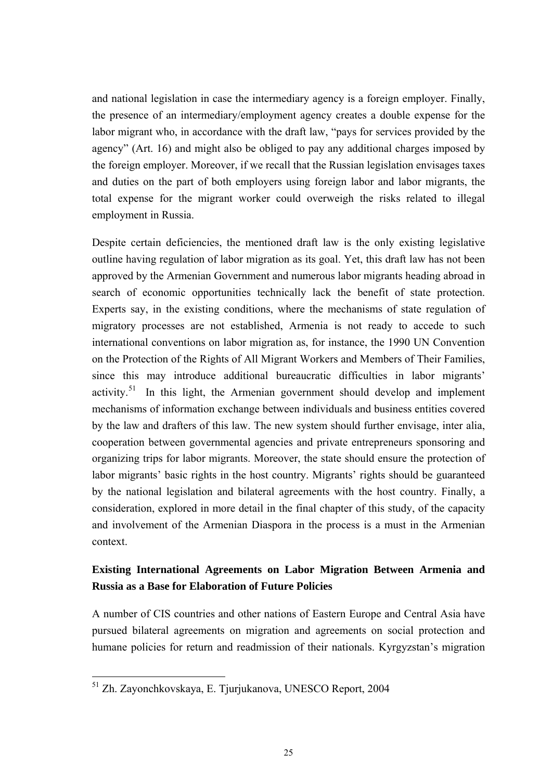<span id="page-24-0"></span>and national legislation in case the intermediary agency is a foreign employer. Finally, the presence of an intermediary/employment agency creates a double expense for the labor migrant who, in accordance with the draft law, "pays for services provided by the agency" (Art. 16) and might also be obliged to pay any additional charges imposed by the foreign employer. Moreover, if we recall that the Russian legislation envisages taxes and duties on the part of both employers using foreign labor and labor migrants, the total expense for the migrant worker could overweigh the risks related to illegal employment in Russia.

Despite certain deficiencies, the mentioned draft law is the only existing legislative outline having regulation of labor migration as its goal. Yet, this draft law has not been approved by the Armenian Government and numerous labor migrants heading abroad in search of economic opportunities technically lack the benefit of state protection. Experts say, in the existing conditions, where the mechanisms of state regulation of migratory processes are not established, Armenia is not ready to accede to such international conventions on labor migration as, for instance, the 1990 UN Convention on the Protection of the Rights of All Migrant Workers and Members of Their Families, since this may introduce additional bureaucratic difficulties in labor migrants' activity.<sup>[51](#page-24-0)</sup> In this light, the Armenian government should develop and implement mechanisms of information exchange between individuals and business entities covered by the law and drafters of this law. The new system should further envisage, inter alia, cooperation between governmental agencies and private entrepreneurs sponsoring and organizing trips for labor migrants. Moreover, the state should ensure the protection of labor migrants' basic rights in the host country. Migrants' rights should be guaranteed by the national legislation and bilateral agreements with the host country. Finally, a consideration, explored in more detail in the final chapter of this study, of the capacity and involvement of the Armenian Diaspora in the process is a must in the Armenian context.

# **Existing International Agreements on Labor Migration Between Armenia and Russia as a Base for Elaboration of Future Policies**

A number of CIS countries and other nations of Eastern Europe and Central Asia have pursued bilateral agreements on migration and agreements on social protection and humane policies for return and readmission of their nationals. Kyrgyzstan's migration

 $\overline{a}$ 51 Zh. Zayonchkovskaya, E. Tjurjukanova, UNESCO Report, 2004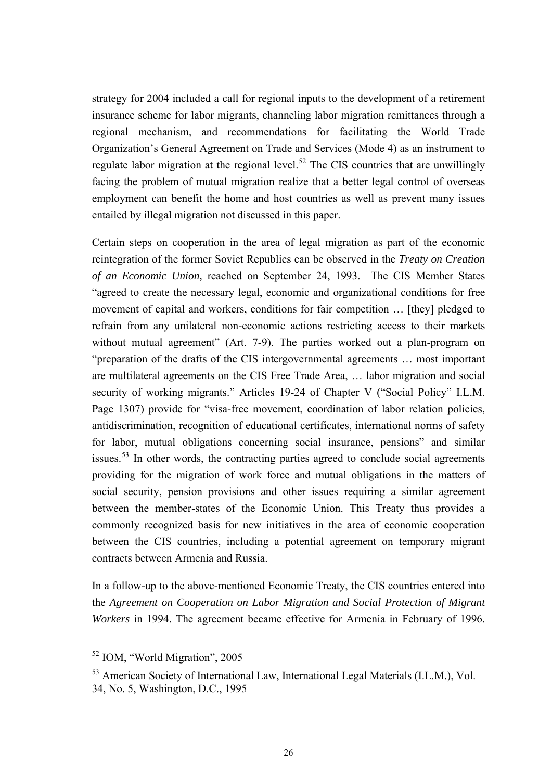<span id="page-25-0"></span>strategy for 2004 included a call for regional inputs to the development of a retirement insurance scheme for labor migrants, channeling labor migration remittances through a regional mechanism, and recommendations for facilitating the World Trade Organization's General Agreement on Trade and Services (Mode 4) as an instrument to regulate labor migration at the regional level.<sup>[5](#page-25-0)2</sup> The CIS countries that are unwillingly facing the problem of mutual migration realize that a better legal control of overseas employment can benefit the home and host countries as well as prevent many issues entailed by illegal migration not discussed in this paper.

Certain steps on cooperation in the area of legal migration as part of the economic reintegration of the former Soviet Republics can be observed in the *Treaty on Creation of an Economic Union,* reached on September 24, 1993. The CIS Member States "agreed to create the necessary legal, economic and organizational conditions for free movement of capital and workers, conditions for fair competition … [they] pledged to refrain from any unilateral non-economic actions restricting access to their markets without mutual agreement" (Art. 7-9). The parties worked out a plan-program on "preparation of the drafts of the CIS intergovernmental agreements … most important are multilateral agreements on the CIS Free Trade Area, … labor migration and social security of working migrants." Articles 19-24 of Chapter V ("Social Policy" I.L.M. Page 1307) provide for "visa-free movement, coordination of labor relation policies, antidiscrimination, recognition of educational certificates, international norms of safety for labor, mutual obligations concerning social insurance, pensions" and similar issues.<sup>[5](#page-25-0)3</sup> In other words, the contracting parties agreed to conclude social agreements providing for the migration of work force and mutual obligations in the matters of social security, pension provisions and other issues requiring a similar agreement between the member-states of the Economic Union. This Treaty thus provides a commonly recognized basis for new initiatives in the area of economic cooperation between the CIS countries, including a potential agreement on temporary migrant contracts between Armenia and Russia.

In a follow-up to the above-mentioned Economic Treaty, the CIS countries entered into the *Agreement on Cooperation on Labor Migration and Social Protection of Migrant Workers* in 1994. The agreement became effective for Armenia in February of 1996.

<sup>52</sup> IOM, "World Migration", 2005

<sup>53</sup> American Society of International Law, International Legal Materials (I.L.M.), Vol. 34, No. 5, Washington, D.C., 1995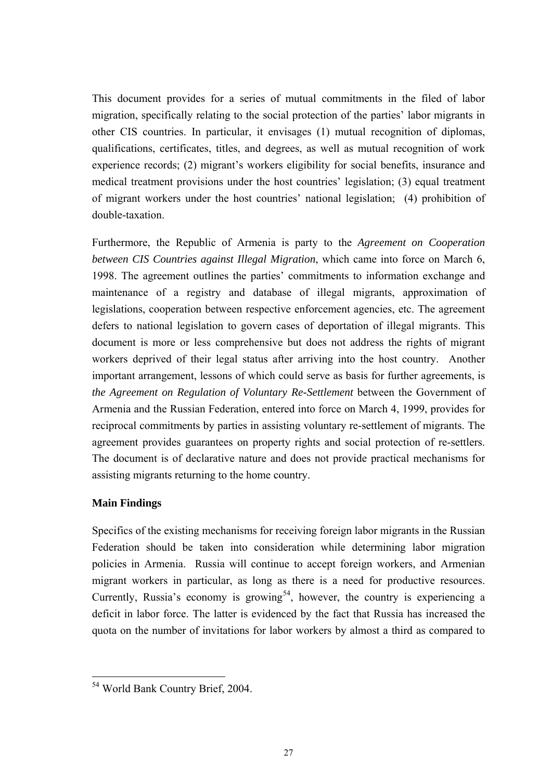<span id="page-26-0"></span>This document provides for a series of mutual commitments in the filed of labor migration, specifically relating to the social protection of the parties' labor migrants in other CIS countries. In particular, it envisages (1) mutual recognition of diplomas, qualifications, certificates, titles, and degrees, as well as mutual recognition of work experience records; (2) migrant's workers eligibility for social benefits, insurance and medical treatment provisions under the host countries' legislation; (3) equal treatment of migrant workers under the host countries' national legislation; (4) prohibition of double-taxation.

Furthermore, the Republic of Armenia is party to the *Agreement on Cooperation between CIS Countries against Illegal Migration*, which came into force on March 6, 1998. The agreement outlines the parties' commitments to information exchange and maintenance of a registry and database of illegal migrants, approximation of legislations, cooperation between respective enforcement agencies, etc. The agreement defers to national legislation to govern cases of deportation of illegal migrants. This document is more or less comprehensive but does not address the rights of migrant workers deprived of their legal status after arriving into the host country. Another important arrangement, lessons of which could serve as basis for further agreements, is *the Agreement on Regulation of Voluntary Re-Settlement* between the Government of Armenia and the Russian Federation, entered into force on March 4, 1999, provides for reciprocal commitments by parties in assisting voluntary re-settlement of migrants. The agreement provides guarantees on property rights and social protection of re-settlers. The document is of declarative nature and does not provide practical mechanisms for assisting migrants returning to the home country.

## **Main Findings**

Specifics of the existing mechanisms for receiving foreign labor migrants in the Russian Federation should be taken into consideration while determining labor migration policies in Armenia. Russia will continue to accept foreign workers, and Armenian migrant workers in particular, as long as there is a need for productive resources. Currently, Russia's economy is growing<sup>[5](#page-26-0)4</sup>, however, the country is experiencing a deficit in labor force. The latter is evidenced by the fact that Russia has increased the quota on the number of invitations for labor workers by almost a third as compared to

 $\overline{a}$ 54 World Bank Country Brief, 2004.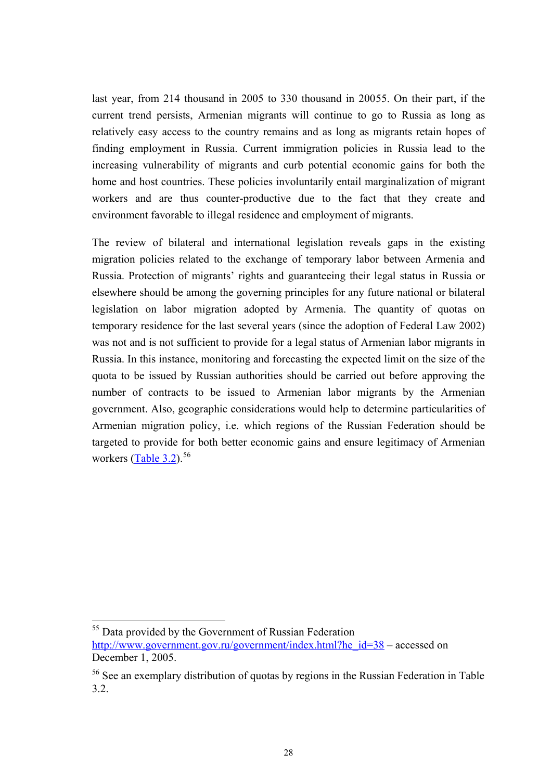<span id="page-27-0"></span>last year, from 214 thousand in 2005 to 330 thousand in 200[55](#page-27-0). On their part, if the current trend persists, Armenian migrants will continue to go to Russia as long as relatively easy access to the country remains and as long as migrants retain hopes of finding employment in Russia. Current immigration policies in Russia lead to the increasing vulnerability of migrants and curb potential economic gains for both the home and host countries. These policies involuntarily entail marginalization of migrant workers and are thus counter-productive due to the fact that they create and environment favorable to illegal residence and employment of migrants.

The review of bilateral and international legislation reveals gaps in the existing migration policies related to the exchange of temporary labor between Armenia and Russia. Protection of migrants' rights and guaranteeing their legal status in Russia or elsewhere should be among the governing principles for any future national or bilateral legislation on labor migration adopted by Armenia. The quantity of quotas on temporary residence for the last several years (since the adoption of Federal Law 2002) was not and is not sufficient to provide for a legal status of Armenian labor migrants in Russia. In this instance, monitoring and forecasting the expected limit on the size of the quota to be issued by Russian authorities should be carried out before approving the number of contracts to be issued to Armenian labor migrants by the Armenian government. Also, geographic considerations would help to determine particularities of Armenian migration policy, i.e. which regions of the Russian Federation should be targeted to provide for both better economic gains and ensure legitimacy of Armenian workers ([Table 3.2](#page-56-0)). $56$ 

<sup>&</sup>lt;sup>55</sup> Data provided by the Government of Russian Federation http://www.government.gov.ru/government/index.html?he\_id=38 – accessed on December 1, 2005.

<sup>&</sup>lt;sup>56</sup> See an exemplary distribution of quotas by regions in the Russian Federation in Table 3.2.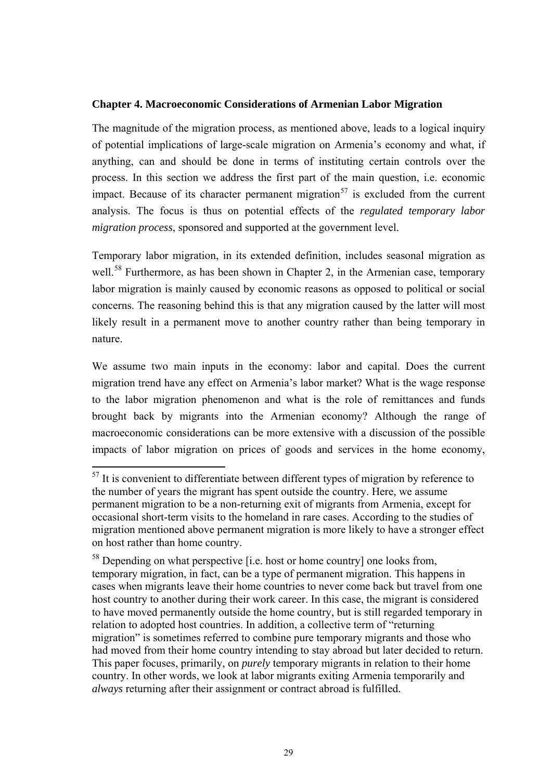### <span id="page-28-0"></span>**Chapter 4. Macroeconomic Considerations of Armenian Labor Migration**

The magnitude of the migration process, as mentioned above, leads to a logical inquiry of potential implications of large-scale migration on Armenia's economy and what, if anything, can and should be done in terms of instituting certain controls over the process. In this section we address the first part of the main question, i.e. economic impact. Because of its character permanent migration<sup>[5](#page-28-0)7</sup> is excluded from the current analysis. The focus is thus on potential effects of the *regulated temporary labor migration process*, sponsored and supported at the government level.

Temporary labor migration, in its extended definition, includes seasonal migration as well.<sup>[5](#page-28-0)8</sup> Furthermore, as has been shown in Chapter 2, in the Armenian case, temporary labor migration is mainly caused by economic reasons as opposed to political or social concerns. The reasoning behind this is that any migration caused by the latter will most likely result in a permanent move to another country rather than being temporary in nature.

We assume two main inputs in the economy: labor and capital. Does the current migration trend have any effect on Armenia's labor market? What is the wage response to the labor migration phenomenon and what is the role of remittances and funds brought back by migrants into the Armenian economy? Although the range of macroeconomic considerations can be more extensive with a discussion of the possible impacts of labor migration on prices of goods and services in the home economy,

 $57$  It is convenient to differentiate between different types of migration by reference to the number of years the migrant has spent outside the country. Here, we assume permanent migration to be a non-returning exit of migrants from Armenia, except for occasional short-term visits to the homeland in rare cases. According to the studies of migration mentioned above permanent migration is more likely to have a stronger effect on host rather than home country.

 $58$  Depending on what perspective [i.e. host or home country] one looks from, temporary migration, in fact, can be a type of permanent migration. This happens in cases when migrants leave their home countries to never come back but travel from one host country to another during their work career. In this case, the migrant is considered to have moved permanently outside the home country, but is still regarded temporary in relation to adopted host countries. In addition, a collective term of "returning migration" is sometimes referred to combine pure temporary migrants and those who had moved from their home country intending to stay abroad but later decided to return. This paper focuses, primarily, on *purely* temporary migrants in relation to their home country. In other words, we look at labor migrants exiting Armenia temporarily and *always* returning after their assignment or contract abroad is fulfilled.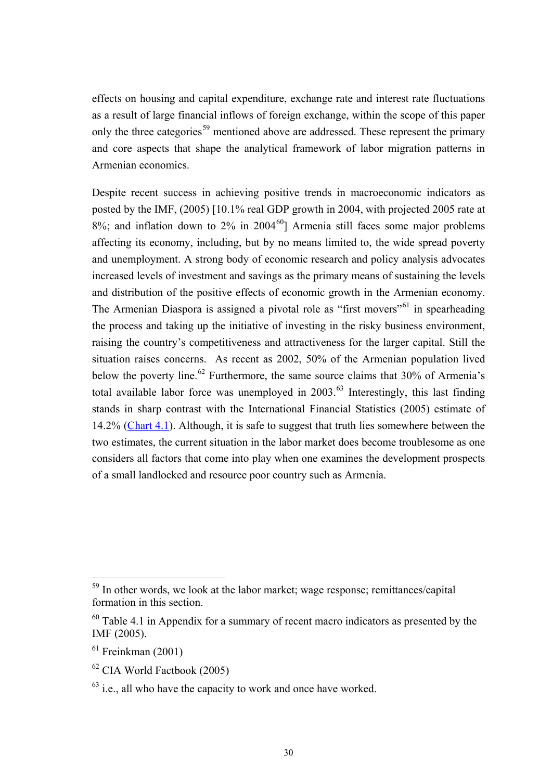<span id="page-29-0"></span>effects on housing and capital expenditure, exchange rate and interest rate fluctuations as a result of large financial inflows of foreign exchange, within the scope of this paper only the three categories<sup>[59](#page-29-0)</sup> mentioned above are addressed. These represent the primary and core aspects that shape the analytical framework of labor migration patterns in Armenian economics.

Despite recent success in achieving positive trends in macroeconomic indicators as posted by the IMF, (2005) [10.1% real GDP growth in 2004, with projected 2005 rate at  $8\%$ ; and inflation down to  $2\%$  in  $2004\degree$  Armenia still faces some major problems affecting its economy, including, but by no means limited to, the wide spread poverty and unemployment. A strong body of economic research and policy analysis advocates increased levels of investment and savings as the primary means of sustaining the levels and distribution of the positive effects of economic growth in the Armenian economy. The Armenian Diaspora is assigned a pivotal role as "first movers"<sup>[6](#page-29-0)1</sup> in spearheading the process and taking up the initiative of investing in the risky business environment, raising the country's competitiveness and attractiveness for the larger capital. Still the situation raises concerns. As recent as 2002, 50% of the Armenian population lived below the poverty line.<sup>[62](#page-29-0)</sup> Furthermore, the same source claims that  $30\%$  of Armenia's total available labor force was unemployed in  $2003<sup>63</sup>$  $2003<sup>63</sup>$  $2003<sup>63</sup>$  Interestingly, this last finding stands in sharp contrast with the International Financial Statistics (2005) estimate of 14.2% ([Chart 4.1\)](#page-60-0). Although, it is safe to suggest that truth lies somewhere between the two estimates, the current situation in the labor market does become troublesome as one considers all factors that come into play when one examines the development prospects of a small landlocked and resource poor country such as Armenia.

<sup>&</sup>lt;sup>59</sup> In other words, we look at the labor market; wage response; remittances/capital formation in this section.

 $60$  Table 4.1 in Appendix for a summary of recent macro indicators as presented by the IMF (2005).

 $61$  Freinkman (2001)

<sup>62</sup> CIA World Factbook (2005)

 $63$  i.e., all who have the capacity to work and once have worked.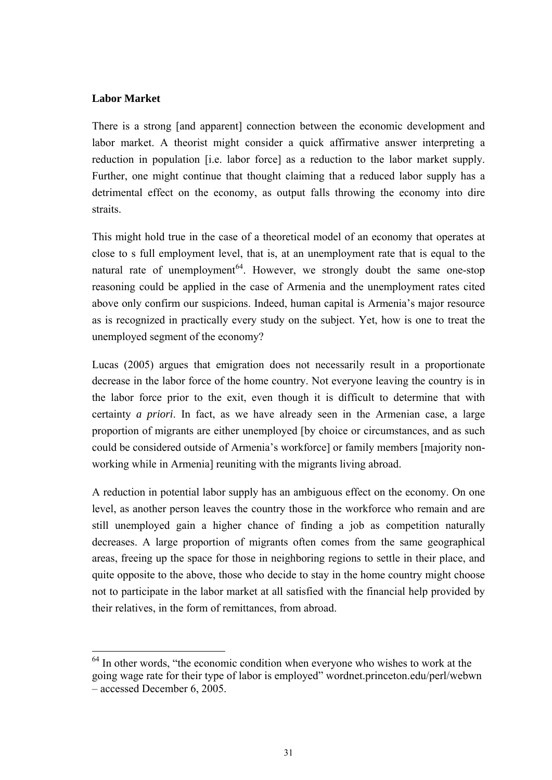## <span id="page-30-0"></span>**Labor Market**

 $\overline{a}$ 

There is a strong [and apparent] connection between the economic development and labor market. A theorist might consider a quick affirmative answer interpreting a reduction in population [i.e. labor force] as a reduction to the labor market supply. Further, one might continue that thought claiming that a reduced labor supply has a detrimental effect on the economy, as output falls throwing the economy into dire straits.

This might hold true in the case of a theoretical model of an economy that operates at close to s full employment level, that is, at an unemployment rate that is equal to the natural rate of unemployment<sup> $64$  $64$ </sup>. However, we strongly doubt the same one-stop reasoning could be applied in the case of Armenia and the unemployment rates cited above only confirm our suspicions. Indeed, human capital is Armenia's major resource as is recognized in practically every study on the subject. Yet, how is one to treat the unemployed segment of the economy?

Lucas (2005) argues that emigration does not necessarily result in a proportionate decrease in the labor force of the home country. Not everyone leaving the country is in the labor force prior to the exit, even though it is difficult to determine that with certainty *a priori*. In fact, as we have already seen in the Armenian case, a large proportion of migrants are either unemployed [by choice or circumstances, and as such could be considered outside of Armenia's workforce] or family members [majority nonworking while in Armenia] reuniting with the migrants living abroad.

A reduction in potential labor supply has an ambiguous effect on the economy. On one level, as another person leaves the country those in the workforce who remain and are still unemployed gain a higher chance of finding a job as competition naturally decreases. A large proportion of migrants often comes from the same geographical areas, freeing up the space for those in neighboring regions to settle in their place, and quite opposite to the above, those who decide to stay in the home country might choose not to participate in the labor market at all satisfied with the financial help provided by their relatives, in the form of remittances, from abroad.

 $64$  In other words, "the economic condition when everyone who wishes to work at the going wage rate for their type of labor is employed" wordnet.princeton.edu/perl/webwn – accessed December 6, 2005.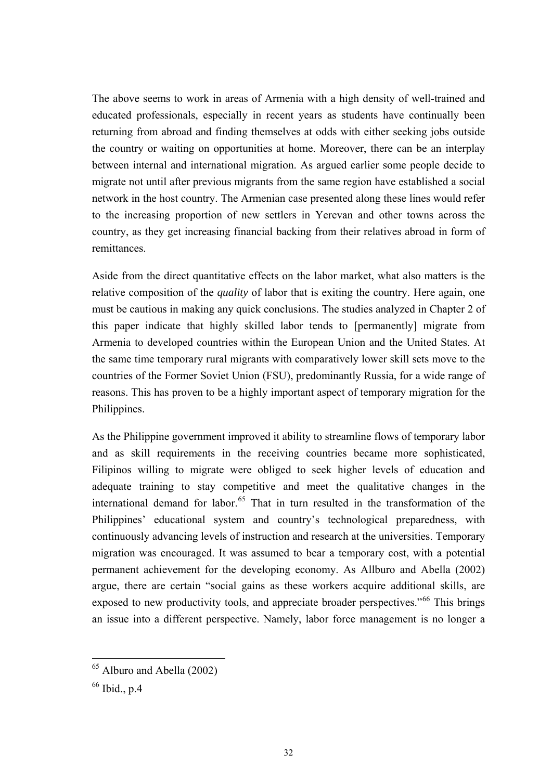<span id="page-31-0"></span>The above seems to work in areas of Armenia with a high density of well-trained and educated professionals, especially in recent years as students have continually been returning from abroad and finding themselves at odds with either seeking jobs outside the country or waiting on opportunities at home. Moreover, there can be an interplay between internal and international migration. As argued earlier some people decide to migrate not until after previous migrants from the same region have established a social network in the host country. The Armenian case presented along these lines would refer to the increasing proportion of new settlers in Yerevan and other towns across the country, as they get increasing financial backing from their relatives abroad in form of remittances.

Aside from the direct quantitative effects on the labor market, what also matters is the relative composition of the *quality* of labor that is exiting the country. Here again, one must be cautious in making any quick conclusions. The studies analyzed in Chapter 2 of this paper indicate that highly skilled labor tends to [permanently] migrate from Armenia to developed countries within the European Union and the United States. At the same time temporary rural migrants with comparatively lower skill sets move to the countries of the Former Soviet Union (FSU), predominantly Russia, for a wide range of reasons. This has proven to be a highly important aspect of temporary migration for the Philippines.

As the Philippine government improved it ability to streamline flows of temporary labor and as skill requirements in the receiving countries became more sophisticated, Filipinos willing to migrate were obliged to seek higher levels of education and adequate training to stay competitive and meet the qualitative changes in the international demand for labor.<sup>[65](#page-31-0)</sup> That in turn resulted in the transformation of the Philippines' educational system and country's technological preparedness, with continuously advancing levels of instruction and research at the universities. Temporary migration was encouraged. It was assumed to bear a temporary cost, with a potential permanent achievement for the developing economy. As Allburo and Abella (2002) argue, there are certain "social gains as these workers acquire additional skills, are exposed to new productivity tools, and appreciate broader perspectives."<sup>[66](#page-31-0)</sup> This brings an issue into a different perspective. Namely, labor force management is no longer a

<sup>&</sup>lt;sup>65</sup> Alburo and Abella (2002)

 $66$  Ibid., p.4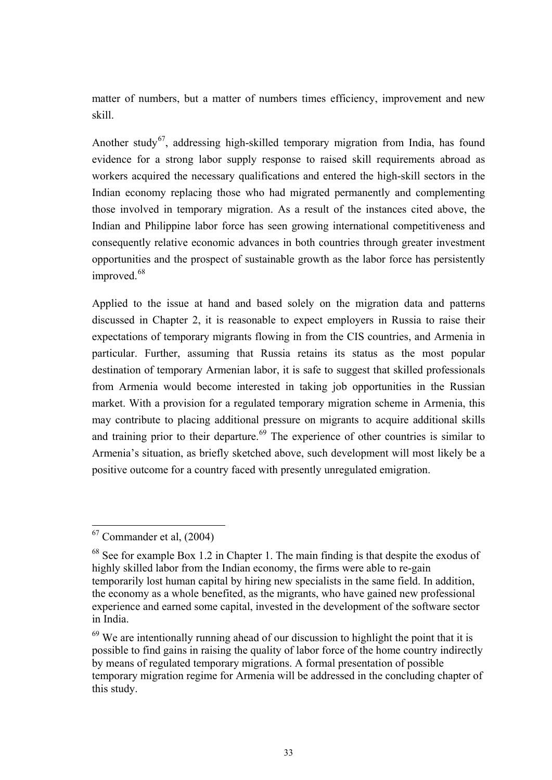<span id="page-32-0"></span>matter of numbers, but a matter of numbers times efficiency, improvement and new skill.

Another study<sup>[6](#page-32-0)7</sup>, addressing high-skilled temporary migration from India, has found evidence for a strong labor supply response to raised skill requirements abroad as workers acquired the necessary qualifications and entered the high-skill sectors in the Indian economy replacing those who had migrated permanently and complementing those involved in temporary migration. As a result of the instances cited above, the Indian and Philippine labor force has seen growing international competitiveness and consequently relative economic advances in both countries through greater investment opportunities and the prospect of sustainable growth as the labor force has persistently improved.<sup>[68](#page-32-0)</sup>

Applied to the issue at hand and based solely on the migration data and patterns discussed in Chapter 2, it is reasonable to expect employers in Russia to raise their expectations of temporary migrants flowing in from the CIS countries, and Armenia in particular. Further, assuming that Russia retains its status as the most popular destination of temporary Armenian labor, it is safe to suggest that skilled professionals from Armenia would become interested in taking job opportunities in the Russian market. With a provision for a regulated temporary migration scheme in Armenia, this may contribute to placing additional pressure on migrants to acquire additional skills and training prior to their departure.<sup>[69](#page-32-0)</sup> The experience of other countries is similar to Armenia's situation, as briefly sketched above, such development will most likely be a positive outcome for a country faced with presently unregulated emigration.

 $67$  Commander et al,  $(2004)$ 

 $68$  See for example Box 1.2 in Chapter 1. The main finding is that despite the exodus of highly skilled labor from the Indian economy, the firms were able to re-gain temporarily lost human capital by hiring new specialists in the same field. In addition, the economy as a whole benefited, as the migrants, who have gained new professional experience and earned some capital, invested in the development of the software sector in India.

 $69$  We are intentionally running ahead of our discussion to highlight the point that it is possible to find gains in raising the quality of labor force of the home country indirectly by means of regulated temporary migrations. A formal presentation of possible temporary migration regime for Armenia will be addressed in the concluding chapter of this study.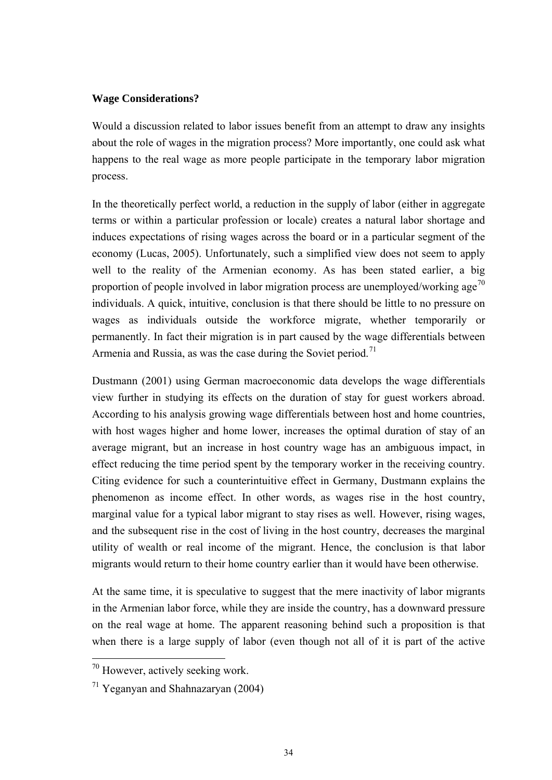## <span id="page-33-0"></span>**Wage Considerations?**

Would a discussion related to labor issues benefit from an attempt to draw any insights about the role of wages in the migration process? More importantly, one could ask what happens to the real wage as more people participate in the temporary labor migration process.

In the theoretically perfect world, a reduction in the supply of labor (either in aggregate terms or within a particular profession or locale) creates a natural labor shortage and induces expectations of rising wages across the board or in a particular segment of the economy (Lucas, 2005). Unfortunately, such a simplified view does not seem to apply well to the reality of the Armenian economy. As has been stated earlier, a big proportion of people involved in labor migration process are unemployed/working age<sup>[7](#page-33-0)0</sup> individuals. A quick, intuitive, conclusion is that there should be little to no pressure on wages as individuals outside the workforce migrate, whether temporarily or permanently. In fact their migration is in part caused by the wage differentials between Armenia and Russia, as was the case during the Soviet period.<sup>[7](#page-33-0)1</sup>

Dustmann (2001) using German macroeconomic data develops the wage differentials view further in studying its effects on the duration of stay for guest workers abroad. According to his analysis growing wage differentials between host and home countries, with host wages higher and home lower, increases the optimal duration of stay of an average migrant, but an increase in host country wage has an ambiguous impact, in effect reducing the time period spent by the temporary worker in the receiving country. Citing evidence for such a counterintuitive effect in Germany, Dustmann explains the phenomenon as income effect. In other words, as wages rise in the host country, marginal value for a typical labor migrant to stay rises as well. However, rising wages, and the subsequent rise in the cost of living in the host country, decreases the marginal utility of wealth or real income of the migrant. Hence, the conclusion is that labor migrants would return to their home country earlier than it would have been otherwise.

At the same time, it is speculative to suggest that the mere inactivity of labor migrants in the Armenian labor force, while they are inside the country, has a downward pressure on the real wage at home. The apparent reasoning behind such a proposition is that when there is a large supply of labor (even though not all of it is part of the active

<sup>70</sup> However, actively seeking work.

 $71$  Yeganyan and Shahnazaryan (2004)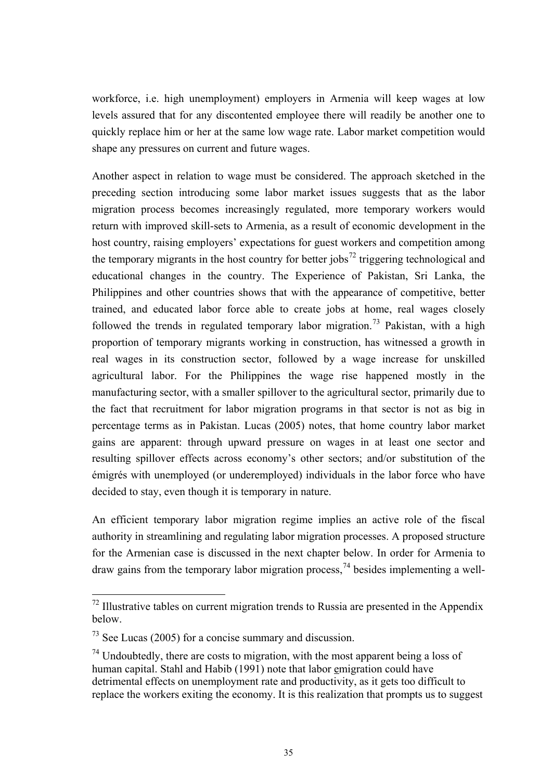<span id="page-34-0"></span>workforce, i.e. high unemployment) employers in Armenia will keep wages at low levels assured that for any discontented employee there will readily be another one to quickly replace him or her at the same low wage rate. Labor market competition would shape any pressures on current and future wages.

Another aspect in relation to wage must be considered. The approach sketched in the preceding section introducing some labor market issues suggests that as the labor migration process becomes increasingly regulated, more temporary workers would return with improved skill-sets to Armenia, as a result of economic development in the host country, raising employers' expectations for guest workers and competition among the temporary migrants in the host country for better  $i$ obs<sup>[7](#page-34-0)2</sup> triggering technological and educational changes in the country. The Experience of Pakistan, Sri Lanka, the Philippines and other countries shows that with the appearance of competitive, better trained, and educated labor force able to create jobs at home, real wages closely followed the trends in regulated temporary labor migration.<sup>[7](#page-34-0)3</sup> Pakistan, with a high proportion of temporary migrants working in construction, has witnessed a growth in real wages in its construction sector, followed by a wage increase for unskilled agricultural labor. For the Philippines the wage rise happened mostly in the manufacturing sector, with a smaller spillover to the agricultural sector, primarily due to the fact that recruitment for labor migration programs in that sector is not as big in percentage terms as in Pakistan. Lucas (2005) notes, that home country labor market gains are apparent: through upward pressure on wages in at least one sector and resulting spillover effects across economy's other sectors; and/or substitution of the émigrés with unemployed (or underemployed) individuals in the labor force who have decided to stay, even though it is temporary in nature.

An efficient temporary labor migration regime implies an active role of the fiscal authority in streamlining and regulating labor migration processes. A proposed structure for the Armenian case is discussed in the next chapter below. In order for Armenia to draw gains from the temporary labor migration process,  $^{74}$  $^{74}$  $^{74}$  besides implementing a well-

 $72$  Illustrative tables on current migration trends to Russia are presented in the Appendix below.

 $73$  See Lucas (2005) for a concise summary and discussion.

 $74$  Undoubtedly, there are costs to migration, with the most apparent being a loss of human capital. Stahl and Habib (1991) note that labor emigration could have detrimental effects on unemployment rate and productivity, as it gets too difficult to replace the workers exiting the economy. It is this realization that prompts us to suggest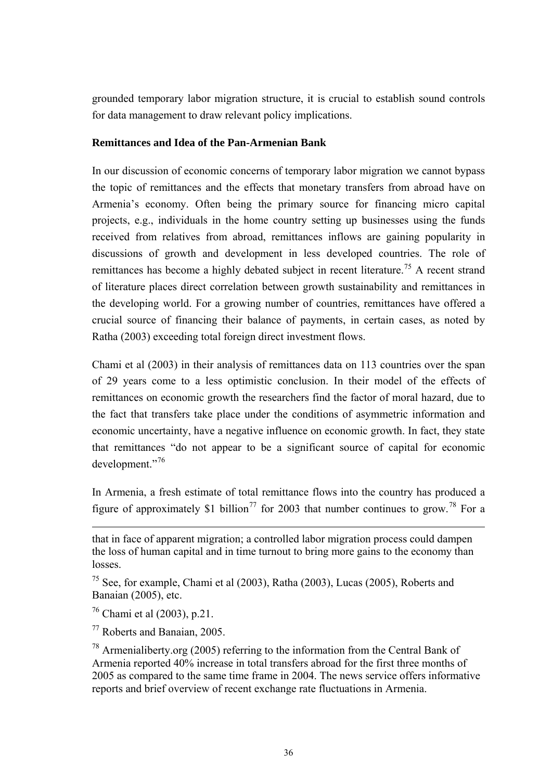<span id="page-35-0"></span>grounded temporary labor migration structure, it is crucial to establish sound controls for data management to draw relevant policy implications.

## **Remittances and Idea of the Pan-Armenian Bank**

In our discussion of economic concerns of temporary labor migration we cannot bypass the topic of remittances and the effects that monetary transfers from abroad have on Armenia's economy. Often being the primary source for financing micro capital projects, e.g., individuals in the home country setting up businesses using the funds received from relatives from abroad, remittances inflows are gaining popularity in discussions of growth and development in less developed countries. The role of remittances has become a highly debated subject in recent literature.<sup>[7](#page-35-0)5</sup> A recent strand of literature places direct correlation between growth sustainability and remittances in the developing world. For a growing number of countries, remittances have offered a crucial source of financing their balance of payments, in certain cases, as noted by Ratha (2003) exceeding total foreign direct investment flows.

Chami et al (2003) in their analysis of remittances data on 113 countries over the span of 29 years come to a less optimistic conclusion. In their model of the effects of remittances on economic growth the researchers find the factor of moral hazard, due to the fact that transfers take place under the conditions of asymmetric information and economic uncertainty, have a negative influence on economic growth. In fact, they state that remittances "do not appear to be a significant source of capital for economic development."[7](#page-35-0)6

In Armenia, a fresh estimate of total remittance flows into the country has produced a figure of approximately \$1 billion<sup>[77](#page-35-0)</sup> for 2003 that number continues to grow.<sup>[7](#page-35-0)8</sup> For a

that in face of apparent migration; a controlled labor migration process could dampen the loss of human capital and in time turnout to bring more gains to the economy than losses.

 $^{75}$  See, for example, Chami et al (2003), Ratha (2003), Lucas (2005), Roberts and Banaian (2005), etc.

<sup>76</sup> Chami et al (2003), p.21.

<sup>77</sup> Roberts and Banaian, 2005.

<sup>78</sup> Armenialiberty.org (2005) referring to the information from the Central Bank of Armenia reported 40% increase in total transfers abroad for the first three months of 2005 as compared to the same time frame in 2004. The news service offers informative reports and brief overview of recent exchange rate fluctuations in Armenia.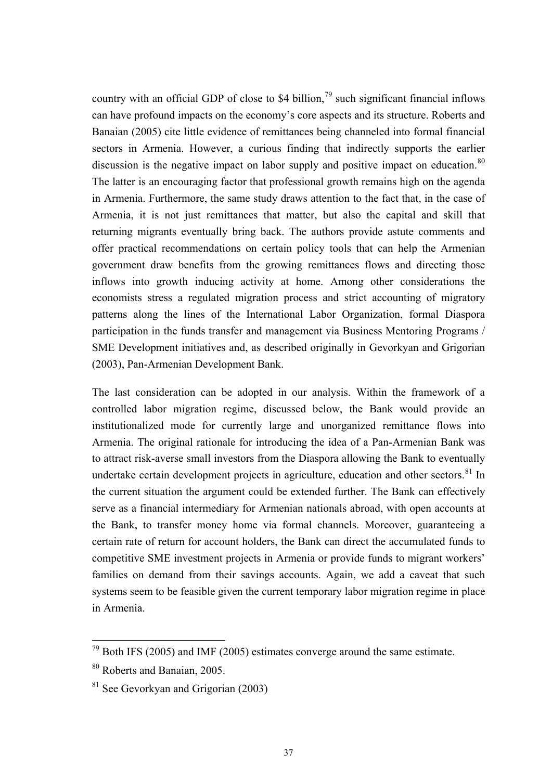<span id="page-36-0"></span>country with an official GDP of close to \$4 billion,  $^{79}$  $^{79}$  $^{79}$  such significant financial inflows can have profound impacts on the economy's core aspects and its structure. Roberts and Banaian (2005) cite little evidence of remittances being channeled into formal financial sectors in Armenia. However, a curious finding that indirectly supports the earlier discussion is the negative impact on labor supply and positive impact on education.<sup>[8](#page-36-0)0</sup> The latter is an encouraging factor that professional growth remains high on the agenda in Armenia. Furthermore, the same study draws attention to the fact that, in the case of Armenia, it is not just remittances that matter, but also the capital and skill that returning migrants eventually bring back. The authors provide astute comments and offer practical recommendations on certain policy tools that can help the Armenian government draw benefits from the growing remittances flows and directing those inflows into growth inducing activity at home. Among other considerations the economists stress a regulated migration process and strict accounting of migratory patterns along the lines of the International Labor Organization, formal Diaspora participation in the funds transfer and management via Business Mentoring Programs / SME Development initiatives and, as described originally in Gevorkyan and Grigorian (2003), Pan-Armenian Development Bank.

The last consideration can be adopted in our analysis. Within the framework of a controlled labor migration regime, discussed below, the Bank would provide an institutionalized mode for currently large and unorganized remittance flows into Armenia. The original rationale for introducing the idea of a Pan-Armenian Bank was to attract risk-averse small investors from the Diaspora allowing the Bank to eventually undertake certain development projects in agriculture, education and other sectors.<sup>[81](#page-36-0)</sup> In the current situation the argument could be extended further. The Bank can effectively serve as a financial intermediary for Armenian nationals abroad, with open accounts at the Bank, to transfer money home via formal channels. Moreover, guaranteeing a certain rate of return for account holders, the Bank can direct the accumulated funds to competitive SME investment projects in Armenia or provide funds to migrant workers' families on demand from their savings accounts. Again, we add a caveat that such systems seem to be feasible given the current temporary labor migration regime in place in Armenia.

 $79$  Both IFS (2005) and IMF (2005) estimates converge around the same estimate.

<sup>80</sup> Roberts and Banaian, 2005.

<sup>81</sup> See Gevorkyan and Grigorian (2003)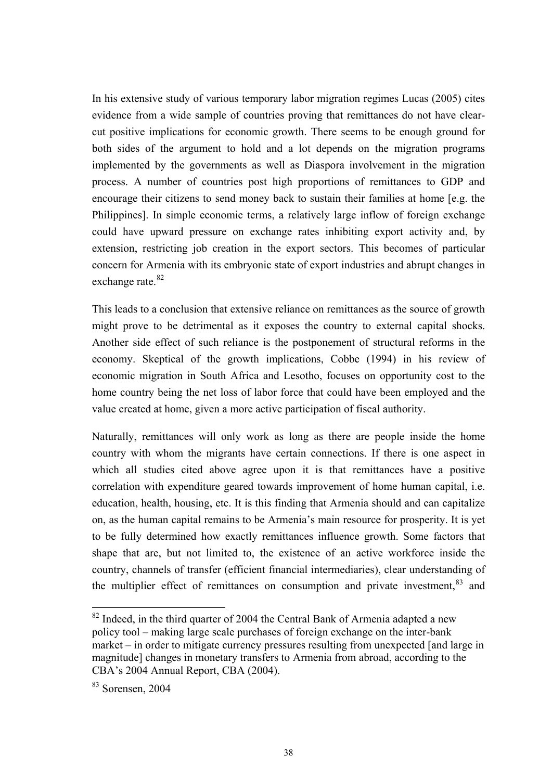<span id="page-37-0"></span>In his extensive study of various temporary labor migration regimes Lucas (2005) cites evidence from a wide sample of countries proving that remittances do not have clearcut positive implications for economic growth. There seems to be enough ground for both sides of the argument to hold and a lot depends on the migration programs implemented by the governments as well as Diaspora involvement in the migration process. A number of countries post high proportions of remittances to GDP and encourage their citizens to send money back to sustain their families at home [e.g. the Philippines]. In simple economic terms, a relatively large inflow of foreign exchange could have upward pressure on exchange rates inhibiting export activity and, by extension, restricting job creation in the export sectors. This becomes of particular concern for Armenia with its embryonic state of export industries and abrupt changes in exchange rate.<sup>[8](#page-37-0)2</sup>

This leads to a conclusion that extensive reliance on remittances as the source of growth might prove to be detrimental as it exposes the country to external capital shocks. Another side effect of such reliance is the postponement of structural reforms in the economy. Skeptical of the growth implications, Cobbe (1994) in his review of economic migration in South Africa and Lesotho, focuses on opportunity cost to the home country being the net loss of labor force that could have been employed and the value created at home, given a more active participation of fiscal authority.

Naturally, remittances will only work as long as there are people inside the home country with whom the migrants have certain connections. If there is one aspect in which all studies cited above agree upon it is that remittances have a positive correlation with expenditure geared towards improvement of home human capital, i.e. education, health, housing, etc. It is this finding that Armenia should and can capitalize on, as the human capital remains to be Armenia's main resource for prosperity. It is yet to be fully determined how exactly remittances influence growth. Some factors that shape that are, but not limited to, the existence of an active workforce inside the country, channels of transfer (efficient financial intermediaries), clear understanding of the multiplier effect of remittances on consumption and private investment, <sup>[83](#page-37-0)</sup> and

 $82$  Indeed, in the third quarter of 2004 the Central Bank of Armenia adapted a new policy tool – making large scale purchases of foreign exchange on the inter-bank market – in order to mitigate currency pressures resulting from unexpected [and large in magnitude] changes in monetary transfers to Armenia from abroad, according to the CBA's 2004 Annual Report, CBA (2004).

<sup>83</sup> Sorensen, 2004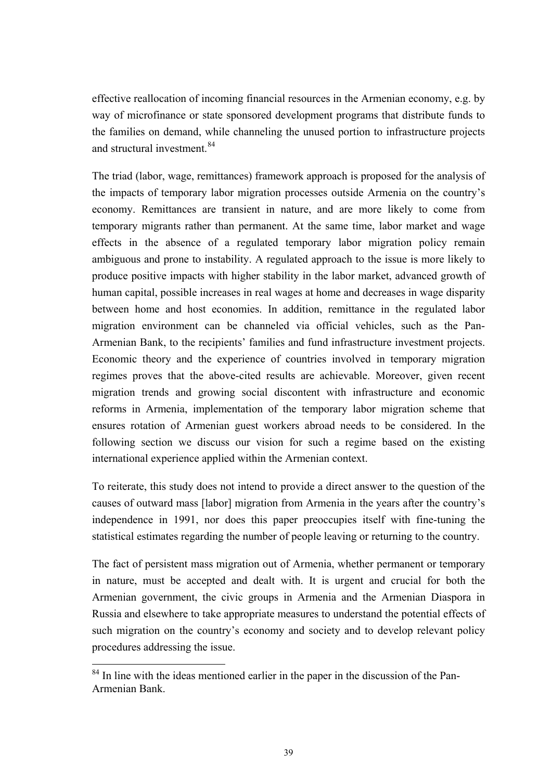<span id="page-38-0"></span>effective reallocation of incoming financial resources in the Armenian economy, e.g. by way of microfinance or state sponsored development programs that distribute funds to the families on demand, while channeling the unused portion to infrastructure projects and structural investment.<sup>[8](#page-38-0)4</sup>

The triad (labor, wage, remittances) framework approach is proposed for the analysis of the impacts of temporary labor migration processes outside Armenia on the country's economy. Remittances are transient in nature, and are more likely to come from temporary migrants rather than permanent. At the same time, labor market and wage effects in the absence of a regulated temporary labor migration policy remain ambiguous and prone to instability. A regulated approach to the issue is more likely to produce positive impacts with higher stability in the labor market, advanced growth of human capital, possible increases in real wages at home and decreases in wage disparity between home and host economies. In addition, remittance in the regulated labor migration environment can be channeled via official vehicles, such as the Pan-Armenian Bank, to the recipients' families and fund infrastructure investment projects. Economic theory and the experience of countries involved in temporary migration regimes proves that the above-cited results are achievable. Moreover, given recent migration trends and growing social discontent with infrastructure and economic reforms in Armenia, implementation of the temporary labor migration scheme that ensures rotation of Armenian guest workers abroad needs to be considered. In the following section we discuss our vision for such a regime based on the existing international experience applied within the Armenian context.

To reiterate, this study does not intend to provide a direct answer to the question of the causes of outward mass [labor] migration from Armenia in the years after the country's independence in 1991, nor does this paper preoccupies itself with fine-tuning the statistical estimates regarding the number of people leaving or returning to the country.

The fact of persistent mass migration out of Armenia, whether permanent or temporary in nature, must be accepted and dealt with. It is urgent and crucial for both the Armenian government, the civic groups in Armenia and the Armenian Diaspora in Russia and elsewhere to take appropriate measures to understand the potential effects of such migration on the country's economy and society and to develop relevant policy procedures addressing the issue.

<sup>&</sup>lt;sup>84</sup> In line with the ideas mentioned earlier in the paper in the discussion of the Pan-Armenian Bank.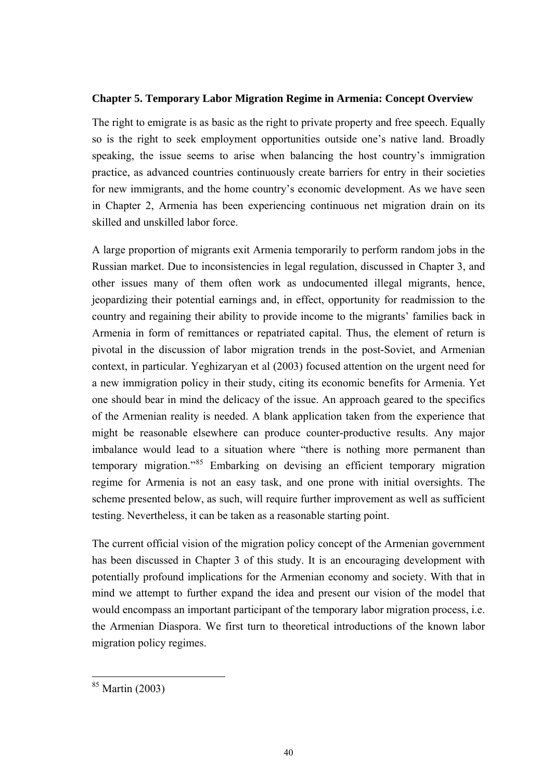### <span id="page-39-0"></span>**Chapter 5. Temporary Labor Migration Regime in Armenia: Concept Overview**

The right to emigrate is as basic as the right to private property and free speech. Equally so is the right to seek employment opportunities outside one's native land. Broadly speaking, the issue seems to arise when balancing the host country's immigration practice, as advanced countries continuously create barriers for entry in their societies for new immigrants, and the home country's economic development. As we have seen in Chapter 2, Armenia has been experiencing continuous net migration drain on its skilled and unskilled labor force.

A large proportion of migrants exit Armenia temporarily to perform random jobs in the Russian market. Due to inconsistencies in legal regulation, discussed in Chapter 3, and other issues many of them often work as undocumented illegal migrants, hence, jeopardizing their potential earnings and, in effect, opportunity for readmission to the country and regaining their ability to provide income to the migrants' families back in Armenia in form of remittances or repatriated capital. Thus, the element of return is pivotal in the discussion of labor migration trends in the post-Soviet, and Armenian context, in particular. Yeghizaryan et al (2003) focused attention on the urgent need for a new immigration policy in their study, citing its economic benefits for Armenia. Yet one should bear in mind the delicacy of the issue. An approach geared to the specifics of the Armenian reality is needed. A blank application taken from the experience that might be reasonable elsewhere can produce counter-productive results. Any major imbalance would lead to a situation where "there is nothing more permanent than temporary migration."[8](#page-39-0)5 Embarking on devising an efficient temporary migration regime for Armenia is not an easy task, and one prone with initial oversights. The scheme presented below, as such, will require further improvement as well as sufficient testing. Nevertheless, it can be taken as a reasonable starting point.

The current official vision of the migration policy concept of the Armenian government has been discussed in Chapter 3 of this study. It is an encouraging development with potentially profound implications for the Armenian economy and society. With that in mind we attempt to further expand the idea and present our vision of the model that would encompass an important participant of the temporary labor migration process, i.e. the Armenian Diaspora. We first turn to theoretical introductions of the known labor migration policy regimes.

<sup>85</sup> Martin (2003)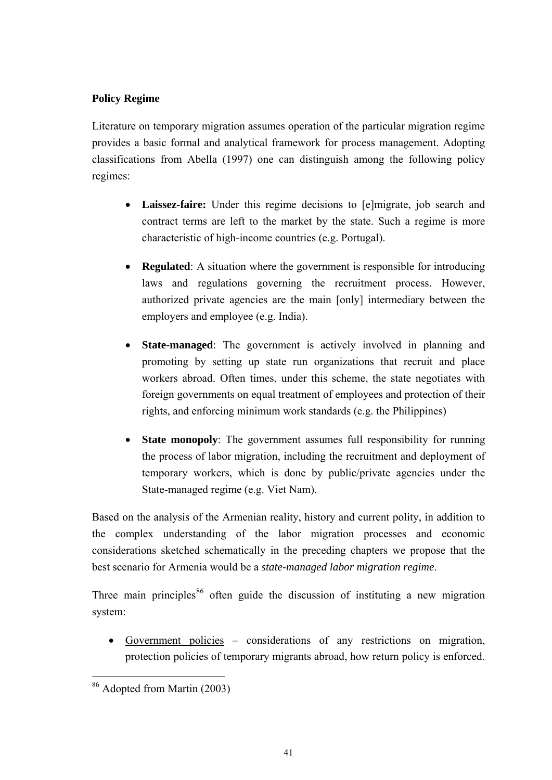# <span id="page-40-0"></span>**Policy Regime**

Literature on temporary migration assumes operation of the particular migration regime provides a basic formal and analytical framework for process management. Adopting classifications from Abella (1997) one can distinguish among the following policy regimes:

- **Laissez-faire:** Under this regime decisions to [e]migrate, job search and contract terms are left to the market by the state. Such a regime is more characteristic of high-income countries (e.g. Portugal).
- **Regulated**: A situation where the government is responsible for introducing laws and regulations governing the recruitment process. However, authorized private agencies are the main [only] intermediary between the employers and employee (e.g. India).
- **State-managed**: The government is actively involved in planning and promoting by setting up state run organizations that recruit and place workers abroad. Often times, under this scheme, the state negotiates with foreign governments on equal treatment of employees and protection of their rights, and enforcing minimum work standards (e.g. the Philippines)
- **State monopoly**: The government assumes full responsibility for running the process of labor migration, including the recruitment and deployment of temporary workers, which is done by public/private agencies under the State-managed regime (e.g. Viet Nam).

Based on the analysis of the Armenian reality, history and current polity, in addition to the complex understanding of the labor migration processes and economic considerations sketched schematically in the preceding chapters we propose that the best scenario for Armenia would be a *state-managed labor migration regime*.

Three main principles<sup>[86](#page-40-0)</sup> often guide the discussion of instituting a new migration system:

• Government policies – considerations of any restrictions on migration, protection policies of temporary migrants abroad, how return policy is enforced.

 $\overline{a}$ 86 Adopted from Martin (2003)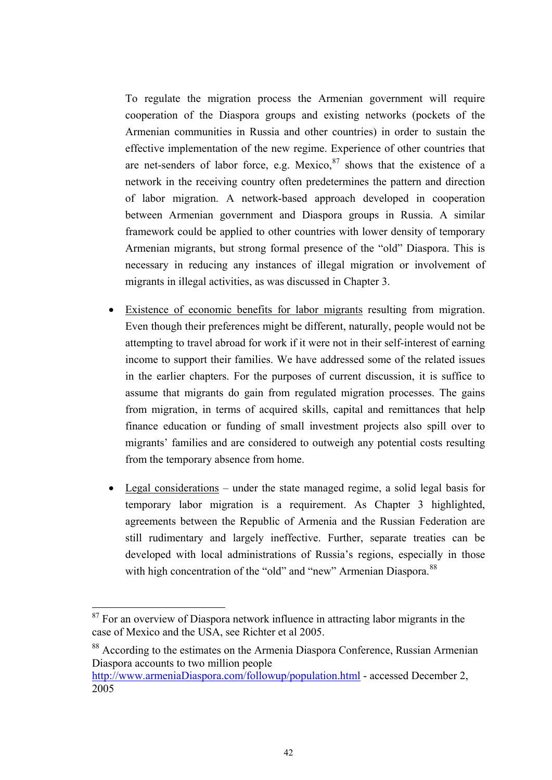<span id="page-41-0"></span>To regulate the migration process the Armenian government will require cooperation of the Diaspora groups and existing networks (pockets of the Armenian communities in Russia and other countries) in order to sustain the effective implementation of the new regime. Experience of other countries that are net-senders of labor force, e.g. Mexico,  $87$  shows that the existence of a network in the receiving country often predetermines the pattern and direction of labor migration. A network-based approach developed in cooperation between Armenian government and Diaspora groups in Russia. A similar framework could be applied to other countries with lower density of temporary Armenian migrants, but strong formal presence of the "old" Diaspora. This is necessary in reducing any instances of illegal migration or involvement of migrants in illegal activities, as was discussed in Chapter 3.

- Existence of economic benefits for labor migrants resulting from migration. Even though their preferences might be different, naturally, people would not be attempting to travel abroad for work if it were not in their self-interest of earning income to support their families. We have addressed some of the related issues in the earlier chapters. For the purposes of current discussion, it is suffice to assume that migrants do gain from regulated migration processes. The gains from migration, in terms of acquired skills, capital and remittances that help finance education or funding of small investment projects also spill over to migrants' families and are considered to outweigh any potential costs resulting from the temporary absence from home.
- Legal considerations under the state managed regime, a solid legal basis for temporary labor migration is a requirement. As Chapter 3 highlighted, agreements between the Republic of Armenia and the Russian Federation are still rudimentary and largely ineffective. Further, separate treaties can be developed with local administrations of Russia's regions, especially in those with high concentration of the "old" and "new" Armenian Diaspora.<sup>[88](#page-41-0)</sup>

 $\overline{a}$ 

88 According to the estimates on the Armenia Diaspora Conference, Russian Armenian Diaspora accounts to two million people

<sup>&</sup>lt;sup>87</sup> For an overview of Diaspora network influence in attracting labor migrants in the case of Mexico and the USA, see Richter et al 2005.

http://www.armeniaDiaspora.com/followup/population.html - accessed December 2, 2005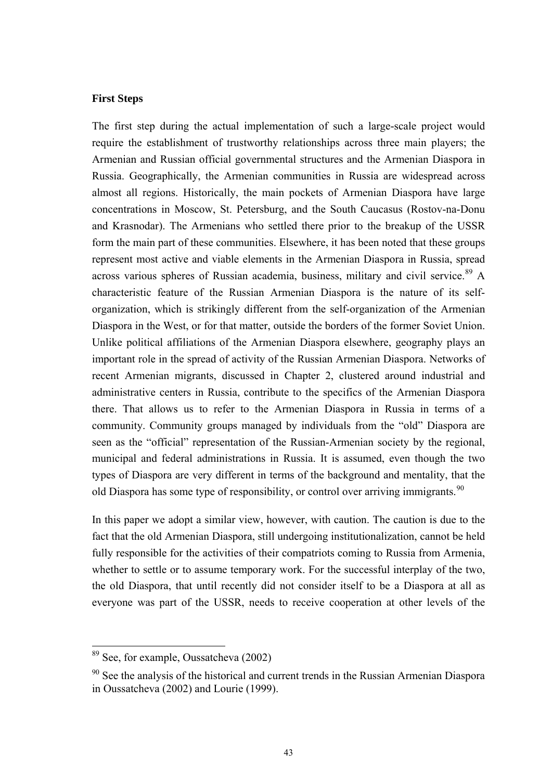### <span id="page-42-0"></span>**First Steps**

The first step during the actual implementation of such a large-scale project would require the establishment of trustworthy relationships across three main players; the Armenian and Russian official governmental structures and the Armenian Diaspora in Russia. Geographically, the Armenian communities in Russia are widespread across almost all regions. Historically, the main pockets of Armenian Diaspora have large concentrations in Moscow, St. Petersburg, and the South Caucasus (Rostov-na-Donu and Krasnodar). The Armenians who settled there prior to the breakup of the USSR form the main part of these communities. Elsewhere, it has been noted that these groups represent most active and viable elements in the Armenian Diaspora in Russia, spread across various spheres of Russian academia, business, military and civil service.<sup>[89](#page-42-0)</sup> A characteristic feature of the Russian Armenian Diaspora is the nature of its selforganization, which is strikingly different from the self-organization of the Armenian Diaspora in the West, or for that matter, outside the borders of the former Soviet Union. Unlike political affiliations of the Armenian Diaspora elsewhere, geography plays an important role in the spread of activity of the Russian Armenian Diaspora. Networks of recent Armenian migrants, discussed in Chapter 2, clustered around industrial and administrative centers in Russia, contribute to the specifics of the Armenian Diaspora there. That allows us to refer to the Armenian Diaspora in Russia in terms of a community. Community groups managed by individuals from the "old" Diaspora are seen as the "official" representation of the Russian-Armenian society by the regional, municipal and federal administrations in Russia. It is assumed, even though the two types of Diaspora are very different in terms of the background and mentality, that the old Diaspora has some type of responsibility, or control over arriving immigrants.<sup>[90](#page-42-0)</sup>

In this paper we adopt a similar view, however, with caution. The caution is due to the fact that the old Armenian Diaspora, still undergoing institutionalization, cannot be held fully responsible for the activities of their compatriots coming to Russia from Armenia, whether to settle or to assume temporary work. For the successful interplay of the two, the old Diaspora, that until recently did not consider itself to be a Diaspora at all as everyone was part of the USSR, needs to receive cooperation at other levels of the

<sup>&</sup>lt;sup>89</sup> See, for example, Oussatcheva (2002)

 $90$  See the analysis of the historical and current trends in the Russian Armenian Diaspora in Oussatcheva (2002) and Lourie (1999).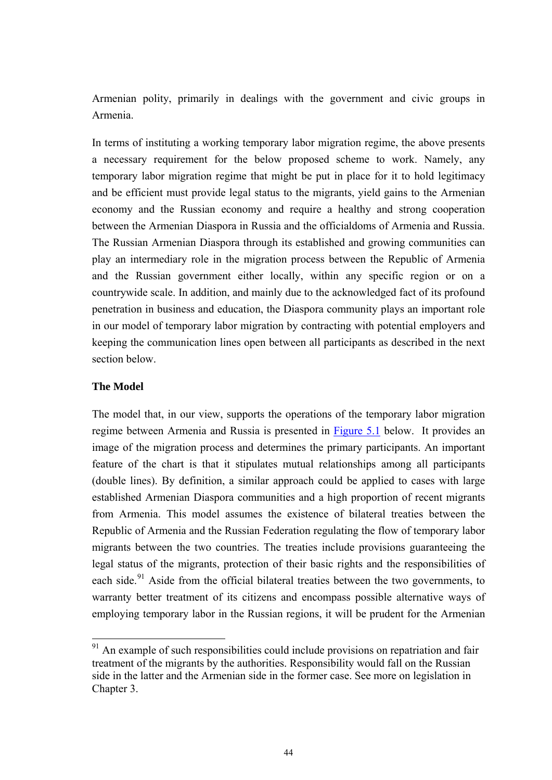<span id="page-43-0"></span>Armenian polity, primarily in dealings with the government and civic groups in Armenia.

In terms of instituting a working temporary labor migration regime, the above presents a necessary requirement for the below proposed scheme to work. Namely, any temporary labor migration regime that might be put in place for it to hold legitimacy and be efficient must provide legal status to the migrants, yield gains to the Armenian economy and the Russian economy and require a healthy and strong cooperation between the Armenian Diaspora in Russia and the officialdoms of Armenia and Russia. The Russian Armenian Diaspora through its established and growing communities can play an intermediary role in the migration process between the Republic of Armenia and the Russian government either locally, within any specific region or on a countrywide scale. In addition, and mainly due to the acknowledged fact of its profound penetration in business and education, the Diaspora community plays an important role in our model of temporary labor migration by contracting with potential employers and keeping the communication lines open between all participants as described in the next section below.

### **The Model**

 $\overline{a}$ 

The model that, in our view, supports the operations of the temporary labor migration regime between Armenia and Russia is presented in [Figure 5.1](#page-46-0) below. It provides an image of the migration process and determines the primary participants. An important feature of the chart is that it stipulates mutual relationships among all participants (double lines). By definition, a similar approach could be applied to cases with large established Armenian Diaspora communities and a high proportion of recent migrants from Armenia. This model assumes the existence of bilateral treaties between the Republic of Armenia and the Russian Federation regulating the flow of temporary labor migrants between the two countries. The treaties include provisions guaranteeing the legal status of the migrants, protection of their basic rights and the responsibilities of each side.<sup>[9](#page-43-0)1</sup> Aside from the official bilateral treaties between the two governments, to warranty better treatment of its citizens and encompass possible alternative ways of employing temporary labor in the Russian regions, it will be prudent for the Armenian

 $91$  An example of such responsibilities could include provisions on repatriation and fair treatment of the migrants by the authorities. Responsibility would fall on the Russian side in the latter and the Armenian side in the former case. See more on legislation in Chapter 3.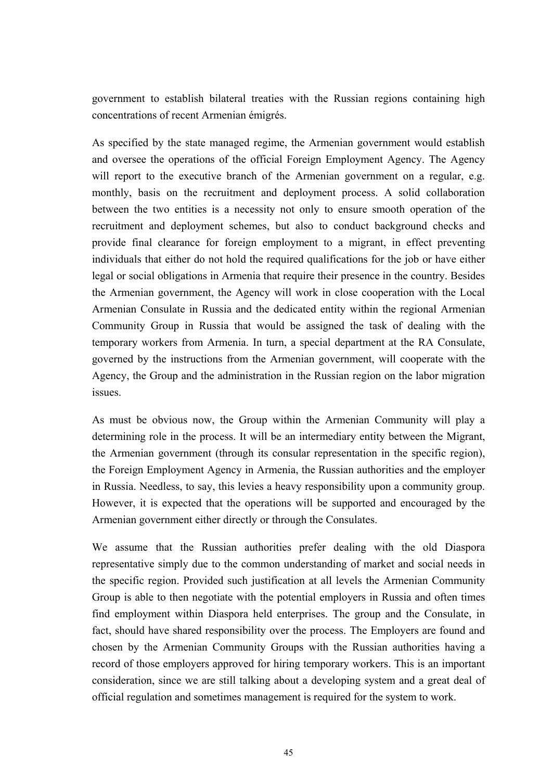government to establish bilateral treaties with the Russian regions containing high concentrations of recent Armenian émigrés.

As specified by the state managed regime, the Armenian government would establish and oversee the operations of the official Foreign Employment Agency. The Agency will report to the executive branch of the Armenian government on a regular, e.g. monthly, basis on the recruitment and deployment process. A solid collaboration between the two entities is a necessity not only to ensure smooth operation of the recruitment and deployment schemes, but also to conduct background checks and provide final clearance for foreign employment to a migrant, in effect preventing individuals that either do not hold the required qualifications for the job or have either legal or social obligations in Armenia that require their presence in the country. Besides the Armenian government, the Agency will work in close cooperation with the Local Armenian Consulate in Russia and the dedicated entity within the regional Armenian Community Group in Russia that would be assigned the task of dealing with the temporary workers from Armenia. In turn, a special department at the RA Consulate, governed by the instructions from the Armenian government, will cooperate with the Agency, the Group and the administration in the Russian region on the labor migration issues.

As must be obvious now, the Group within the Armenian Community will play a determining role in the process. It will be an intermediary entity between the Migrant, the Armenian government (through its consular representation in the specific region), the Foreign Employment Agency in Armenia, the Russian authorities and the employer in Russia. Needless, to say, this levies a heavy responsibility upon a community group. However, it is expected that the operations will be supported and encouraged by the Armenian government either directly or through the Consulates.

We assume that the Russian authorities prefer dealing with the old Diaspora representative simply due to the common understanding of market and social needs in the specific region. Provided such justification at all levels the Armenian Community Group is able to then negotiate with the potential employers in Russia and often times find employment within Diaspora held enterprises. The group and the Consulate, in fact, should have shared responsibility over the process. The Employers are found and chosen by the Armenian Community Groups with the Russian authorities having a record of those employers approved for hiring temporary workers. This is an important consideration, since we are still talking about a developing system and a great deal of official regulation and sometimes management is required for the system to work.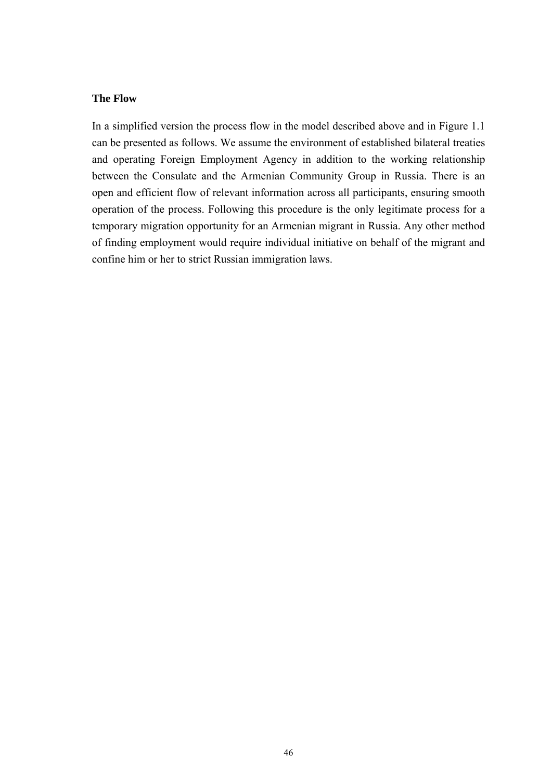## **The Flow**

In a simplified version the process flow in the model described above and in Figure 1.1 can be presented as follows. We assume the environment of established bilateral treaties and operating Foreign Employment Agency in addition to the working relationship between the Consulate and the Armenian Community Group in Russia. There is an open and efficient flow of relevant information across all participants, ensuring smooth operation of the process. Following this procedure is the only legitimate process for a temporary migration opportunity for an Armenian migrant in Russia. Any other method of finding employment would require individual initiative on behalf of the migrant and confine him or her to strict Russian immigration laws.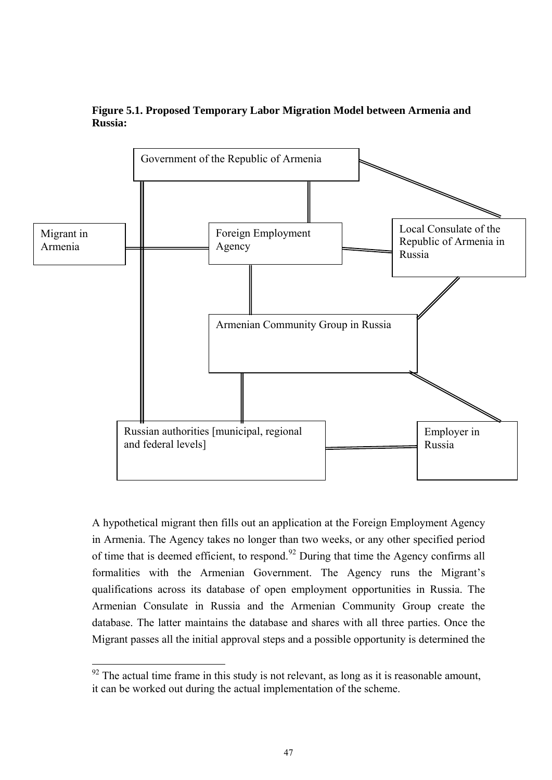<span id="page-46-0"></span>

## **Figure 5.1. Proposed Temporary Labor Migration Model between Armenia and Russia:**

A hypothetical migrant then fills out an application at the Foreign Employment Agency in Armenia. The Agency takes no longer than two weeks, or any other specified period of time that is deemed efficient, to respond.<sup>[92](#page-46-0)</sup> During that time the Agency confirms all formalities with the Armenian Government. The Agency runs the Migrant's qualifications across its database of open employment opportunities in Russia. The Armenian Consulate in Russia and the Armenian Community Group create the database. The latter maintains the database and shares with all three parties. Once the Migrant passes all the initial approval steps and a possible opportunity is determined the

 $92$  The actual time frame in this study is not relevant, as long as it is reasonable amount, it can be worked out during the actual implementation of the scheme.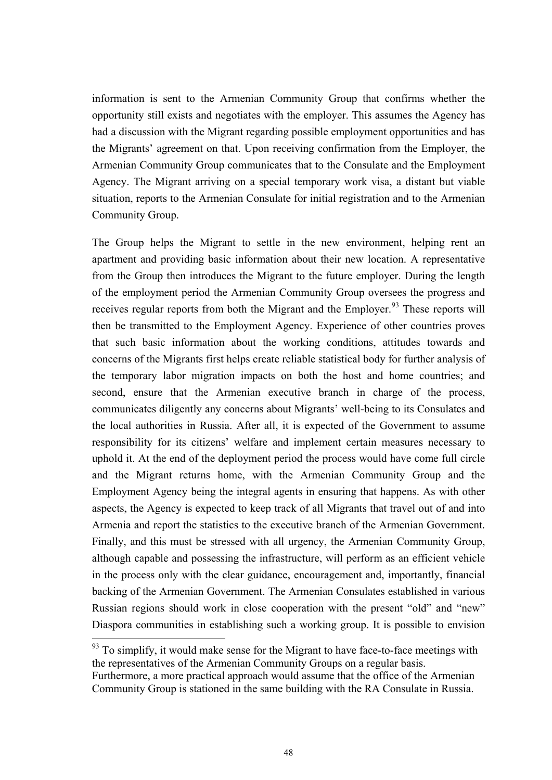<span id="page-47-0"></span>information is sent to the Armenian Community Group that confirms whether the opportunity still exists and negotiates with the employer. This assumes the Agency has had a discussion with the Migrant regarding possible employment opportunities and has the Migrants' agreement on that. Upon receiving confirmation from the Employer, the Armenian Community Group communicates that to the Consulate and the Employment Agency. The Migrant arriving on a special temporary work visa, a distant but viable situation, reports to the Armenian Consulate for initial registration and to the Armenian Community Group.

The Group helps the Migrant to settle in the new environment, helping rent an apartment and providing basic information about their new location. A representative from the Group then introduces the Migrant to the future employer. During the length of the employment period the Armenian Community Group oversees the progress and receives regular reports from both the Migrant and the Employer.<sup>[93](#page-47-0)</sup> These reports will then be transmitted to the Employment Agency. Experience of other countries proves that such basic information about the working conditions, attitudes towards and concerns of the Migrants first helps create reliable statistical body for further analysis of the temporary labor migration impacts on both the host and home countries; and second, ensure that the Armenian executive branch in charge of the process, communicates diligently any concerns about Migrants' well-being to its Consulates and the local authorities in Russia. After all, it is expected of the Government to assume responsibility for its citizens' welfare and implement certain measures necessary to uphold it. At the end of the deployment period the process would have come full circle and the Migrant returns home, with the Armenian Community Group and the Employment Agency being the integral agents in ensuring that happens. As with other aspects, the Agency is expected to keep track of all Migrants that travel out of and into Armenia and report the statistics to the executive branch of the Armenian Government. Finally, and this must be stressed with all urgency, the Armenian Community Group, although capable and possessing the infrastructure, will perform as an efficient vehicle in the process only with the clear guidance, encouragement and, importantly, financial backing of the Armenian Government. The Armenian Consulates established in various Russian regions should work in close cooperation with the present "old" and "new" Diaspora communities in establishing such a working group. It is possible to envision  $\overline{a}$ 

 $93$  To simplify, it would make sense for the Migrant to have face-to-face meetings with the representatives of the Armenian Community Groups on a regular basis. Furthermore, a more practical approach would assume that the office of the Armenian Community Group is stationed in the same building with the RA Consulate in Russia.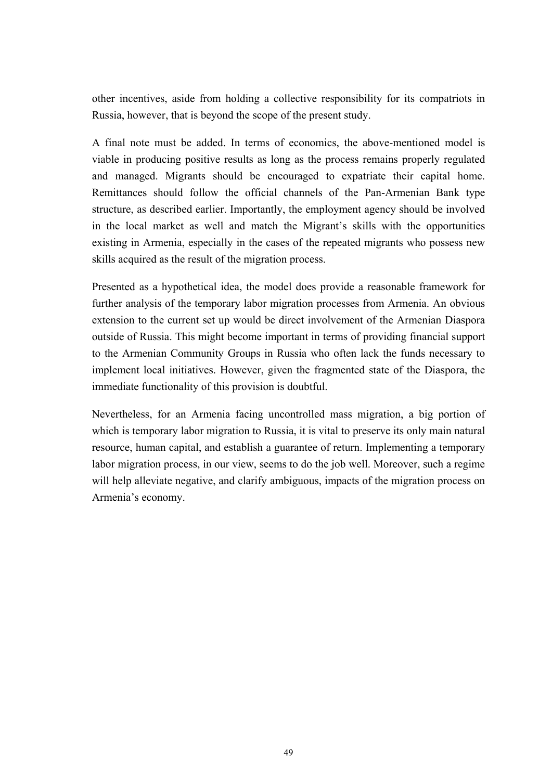other incentives, aside from holding a collective responsibility for its compatriots in Russia, however, that is beyond the scope of the present study.

A final note must be added. In terms of economics, the above-mentioned model is viable in producing positive results as long as the process remains properly regulated and managed. Migrants should be encouraged to expatriate their capital home. Remittances should follow the official channels of the Pan-Armenian Bank type structure, as described earlier. Importantly, the employment agency should be involved in the local market as well and match the Migrant's skills with the opportunities existing in Armenia, especially in the cases of the repeated migrants who possess new skills acquired as the result of the migration process.

Presented as a hypothetical idea, the model does provide a reasonable framework for further analysis of the temporary labor migration processes from Armenia. An obvious extension to the current set up would be direct involvement of the Armenian Diaspora outside of Russia. This might become important in terms of providing financial support to the Armenian Community Groups in Russia who often lack the funds necessary to implement local initiatives. However, given the fragmented state of the Diaspora, the immediate functionality of this provision is doubtful.

Nevertheless, for an Armenia facing uncontrolled mass migration, a big portion of which is temporary labor migration to Russia, it is vital to preserve its only main natural resource, human capital, and establish a guarantee of return. Implementing a temporary labor migration process, in our view, seems to do the job well. Moreover, such a regime will help alleviate negative, and clarify ambiguous, impacts of the migration process on Armenia's economy.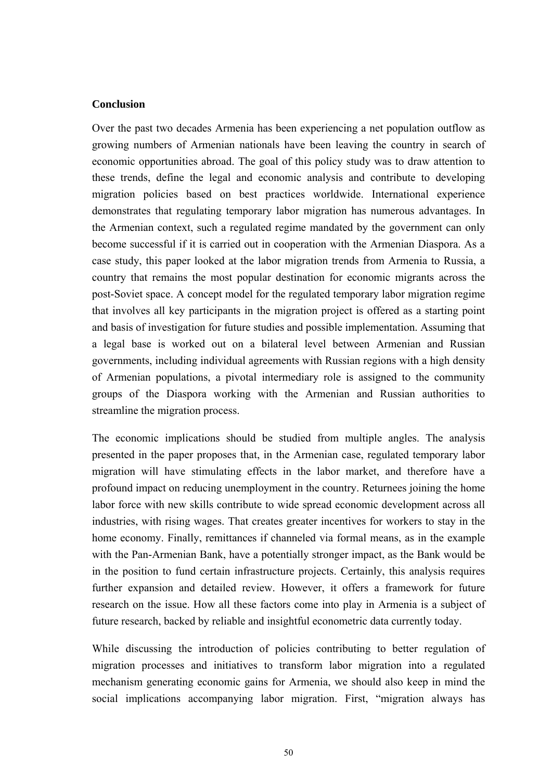### **Conclusion**

Over the past two decades Armenia has been experiencing a net population outflow as growing numbers of Armenian nationals have been leaving the country in search of economic opportunities abroad. The goal of this policy study was to draw attention to these trends, define the legal and economic analysis and contribute to developing migration policies based on best practices worldwide. International experience demonstrates that regulating temporary labor migration has numerous advantages. In the Armenian context, such a regulated regime mandated by the government can only become successful if it is carried out in cooperation with the Armenian Diaspora. As a case study, this paper looked at the labor migration trends from Armenia to Russia, a country that remains the most popular destination for economic migrants across the post-Soviet space. A concept model for the regulated temporary labor migration regime that involves all key participants in the migration project is offered as a starting point and basis of investigation for future studies and possible implementation. Assuming that a legal base is worked out on a bilateral level between Armenian and Russian governments, including individual agreements with Russian regions with a high density of Armenian populations, a pivotal intermediary role is assigned to the community groups of the Diaspora working with the Armenian and Russian authorities to streamline the migration process.

The economic implications should be studied from multiple angles. The analysis presented in the paper proposes that, in the Armenian case, regulated temporary labor migration will have stimulating effects in the labor market, and therefore have a profound impact on reducing unemployment in the country. Returnees joining the home labor force with new skills contribute to wide spread economic development across all industries, with rising wages. That creates greater incentives for workers to stay in the home economy. Finally, remittances if channeled via formal means, as in the example with the Pan-Armenian Bank, have a potentially stronger impact, as the Bank would be in the position to fund certain infrastructure projects. Certainly, this analysis requires further expansion and detailed review. However, it offers a framework for future research on the issue. How all these factors come into play in Armenia is a subject of future research, backed by reliable and insightful econometric data currently today.

While discussing the introduction of policies contributing to better regulation of migration processes and initiatives to transform labor migration into a regulated mechanism generating economic gains for Armenia, we should also keep in mind the social implications accompanying labor migration. First, "migration always has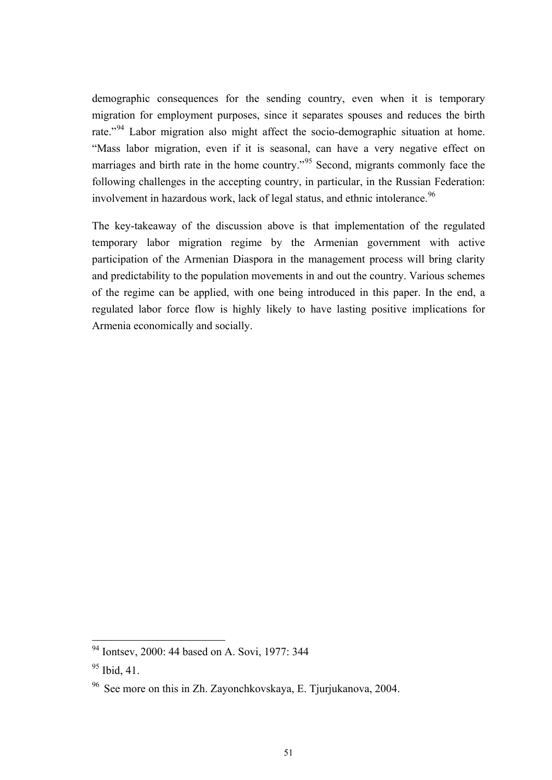<span id="page-50-0"></span>demographic consequences for the sending country, even when it is temporary migration for employment purposes, since it separates spouses and reduces the birth rate."<sup>[9](#page-50-0)4</sup> Labor migration also might affect the socio-demographic situation at home. "Mass labor migration, even if it is seasonal, can have a very negative effect on marriages and birth rate in the home country."<sup>[95](#page-50-0)</sup> Second, migrants commonly face the following challenges in the accepting country, in particular, in the Russian Federation: involvement in hazardous work, lack of legal status, and ethnic intolerance.<sup>[96](#page-50-0)</sup>

The key-takeaway of the discussion above is that implementation of the regulated temporary labor migration regime by the Armenian government with active participation of the Armenian Diaspora in the management process will bring clarity and predictability to the population movements in and out the country. Various schemes of the regime can be applied, with one being introduced in this paper. In the end, a regulated labor force flow is highly likely to have lasting positive implications for Armenia economically and socially.

 $94$  Iontsev, 2000: 44 based on A. Sovi, 1977: 344

 $95$  Ibid, 41.

<sup>96</sup> See more on this in Zh. Zayonchkovskaya, E. Tjurjukanova, 2004.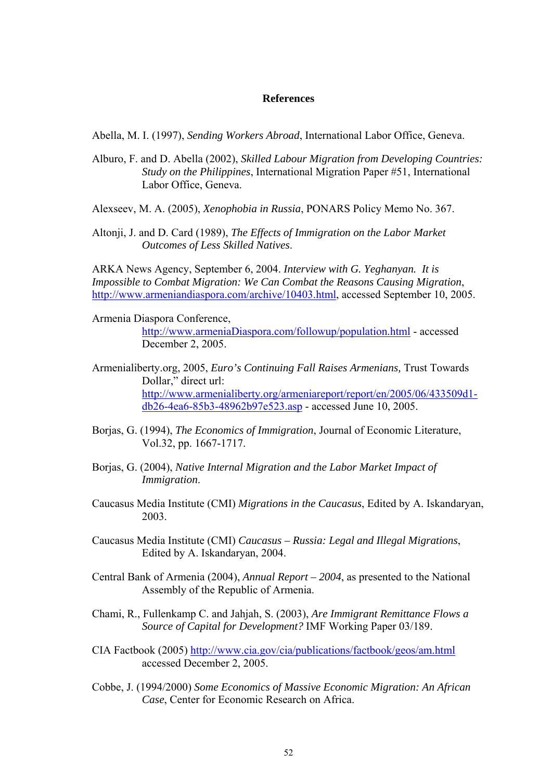#### **References**

Abella, M. I. (1997), *Sending Workers Abroad*, International Labor Office, Geneva.

Alburo, F. and D. Abella (2002), *Skilled Labour Migration from Developing Countries: Study on the Philippines*, International Migration Paper #51, International Labor Office, Geneva.

Alexseev, M. A. (2005), *Xenophobia in Russia*, PONARS Policy Memo No. 367.

Altonji, J. and D. Card (1989), *The Effects of Immigration on the Labor Market Outcomes of Less Skilled Natives*.

ARKA News Agency, September 6, 2004. *Interview with G. Yeghanyan. It is Impossible to Combat Migration: We Can Combat the Reasons Causing Migration*, [http://www.armeniandiaspora.com/archive/10403.html,](http://www.armeniandiaspora.com/archive/10403.html) accessed September 10, 2005.

Armenia Diaspora Conference,

[http://www.armeniaDiaspora.com/followup/population.html](http://www.armeniadiaspora.com/followup/population.html) - accessed December 2, 2005.

- Armenialiberty.org, 2005, *Euro's Continuing Fall Raises Armenians,* Trust Towards Dollar," direct url: [http://www.armenialiberty.org/armeniareport/report/en/2005/06/433509d1](http://www.armenialiberty.org/armeniareport/report/en/2005/06/433509d1-db26-4ea6-85b3-48962b97e523.asp) [db26-4ea6-85b3-48962b97e523.asp](http://www.armenialiberty.org/armeniareport/report/en/2005/06/433509d1-db26-4ea6-85b3-48962b97e523.asp) - accessed June 10, 2005.
- Borjas, G. (1994), *The Economics of Immigration*, Journal of Economic Literature, Vol.32, pp. 1667-1717.
- Borjas, G. (2004), *Native Internal Migration and the Labor Market Impact of Immigration*.
- Caucasus Media Institute (CMI) *Migrations in the Caucasus*, Edited by A. Iskandaryan, 2003.
- Caucasus Media Institute (CMI) *Caucasus Russia: Legal and Illegal Migrations*, Edited by A. Iskandaryan, 2004.
- Central Bank of Armenia (2004), *Annual Report 2004*, as presented to the National Assembly of the Republic of Armenia.
- Chami, R., Fullenkamp C. and Jahjah, S. (2003), *Are Immigrant Remittance Flows a Source of Capital for Development?* IMF Working Paper 03/189.
- CIA Factbook (2005) <http://www.cia.gov/cia/publications/factbook/geos/am.html> accessed December 2, 2005.
- Cobbe, J. (1994/2000) *Some Economics of Massive Economic Migration: An African Case*, Center for Economic Research on Africa.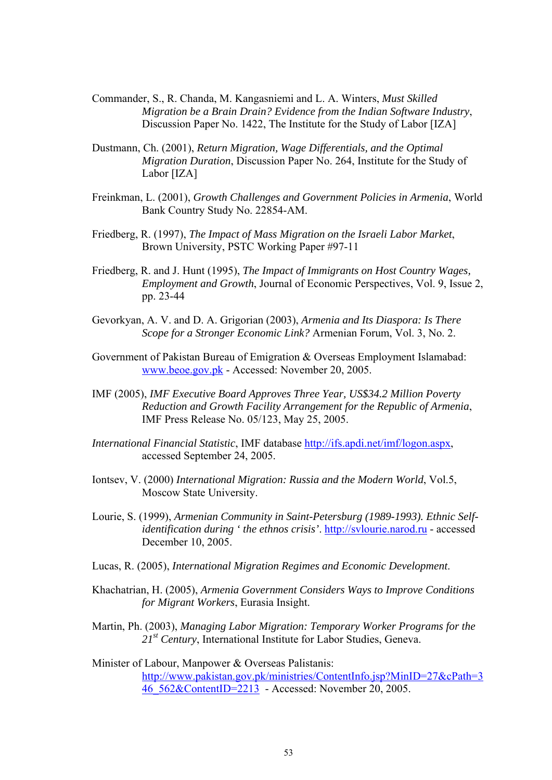- Commander, S., R. Chanda, M. Kangasniemi and L. A. Winters, *Must Skilled Migration be a Brain Drain? Evidence from the Indian Software Industry*, Discussion Paper No. 1422, The Institute for the Study of Labor [IZA]
- Dustmann, Ch. (2001), *Return Migration, Wage Differentials, and the Optimal Migration Duration*, Discussion Paper No. 264, Institute for the Study of Labor [IZA]
- Freinkman, L. (2001), *Growth Challenges and Government Policies in Armenia*, World Bank Country Study No. 22854-AM.
- Friedberg, R. (1997), *The Impact of Mass Migration on the Israeli Labor Market*, Brown University, PSTC Working Paper #97-11
- Friedberg, R. and J. Hunt (1995), *The Impact of Immigrants on Host Country Wages, Employment and Growth*, Journal of Economic Perspectives, Vol. 9, Issue 2, pp. 23-44
- Gevorkyan, A. V. and D. A. Grigorian (2003), *Armenia and Its Diaspora: Is There Scope for a Stronger Economic Link?* Armenian Forum, Vol. 3, No. 2.
- Government of Pakistan Bureau of Emigration & Overseas Employment Islamabad: [www.beoe.gov.pk](http://www.beoe.gov.pk/) - Accessed: November 20, 2005.
- IMF (2005), *IMF Executive Board Approves Three Year, US\$34.2 Million Poverty Reduction and Growth Facility Arrangement for the Republic of Armenia*, IMF Press Release No. 05/123, May 25, 2005.
- *International Financial Statistic*, IMF database <http://ifs.apdi.net/imf/logon.aspx>, accessed September 24, 2005.
- Iontsev, V. (2000) *International Migration: Russia and the Modern World*, Vol.5, Moscow State University.
- Lourie, S. (1999), *Armenian Community in Saint-Petersburg (1989-1993). Ethnic Selfidentification during ' the ethnos crisis'*. [http://svlourie.narod.ru](http://svlourie.narod.ru/) - accessed December 10, 2005.
- Lucas, R. (2005), *International Migration Regimes and Economic Development*.
- Khachatrian, H. (2005), *Armenia Government Considers Ways to Improve Conditions for Migrant Workers*, Eurasia Insight.
- Martin, Ph. (2003), *Managing Labor Migration: Temporary Worker Programs for the 21st Century*, International Institute for Labor Studies, Geneva.
- Minister of Labour, Manpower & Overseas Palistanis: [http://www.pakistan.gov.pk/ministries/ContentInfo.jsp?MinID=27&cPath=3](http://www.pakistan.gov.pk/ministries/ContentInfo.jsp?MinID=27&cPath=346_562&ContentID=2213) [46\\_562&ContentID=2213](http://www.pakistan.gov.pk/ministries/ContentInfo.jsp?MinID=27&cPath=346_562&ContentID=2213) - Accessed: November 20, 2005.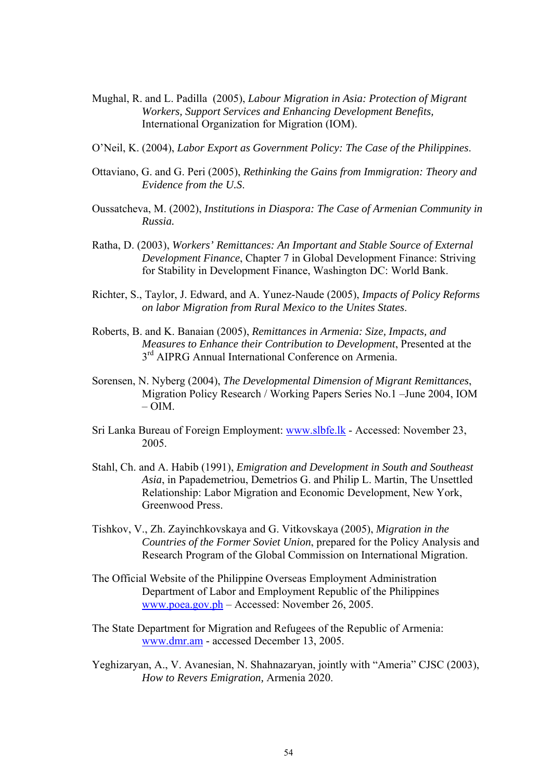- Mughal, R. and L. Padilla (2005), *Labour Migration in Asia: Protection of Migrant Workers, Support Services and Enhancing Development Benefits,* International Organization for Migration (IOM).
- O'Neil, K. (2004), *Labor Export as Government Policy: The Case of the Philippines*.
- Ottaviano, G. and G. Peri (2005), *Rethinking the Gains from Immigration: Theory and Evidence from the U.S*.
- Oussatcheva, M. (2002), *Institutions in Diaspora: The Case of Armenian Community in Russia.*
- Ratha, D. (2003), *Workers' Remittances: An Important and Stable Source of External Development Finance*, Chapter 7 in Global Development Finance: Striving for Stability in Development Finance, Washington DC: World Bank.
- Richter, S., Taylor, J. Edward, and A. Yunez-Naude (2005), *Impacts of Policy Reforms on labor Migration from Rural Mexico to the Unites States*.
- Roberts, B. and K. Banaian (2005), *Remittances in Armenia: Size, Impacts, and Measures to Enhance their Contribution to Development*, Presented at the 3<sup>rd</sup> AIPRG Annual International Conference on Armenia.
- Sorensen, N. Nyberg (2004), *The Developmental Dimension of Migrant Remittances*, Migration Policy Research / Working Papers Series No.1 –June 2004, IOM  $- OIM$
- Sri Lanka Bureau of Foreign Employment: [www.slbfe.lk](http://www.slbfe.lk/) Accessed: November 23, 2005.
- Stahl, Ch. and A. Habib (1991), *Emigration and Development in South and Southeast Asia*, in Papademetriou, Demetrios G. and Philip L. Martin, The Unsettled Relationship: Labor Migration and Economic Development, New York, Greenwood Press.
- Tishkov, V., Zh. Zayinchkovskaya and G. Vitkovskaya (2005), *Migration in the Countries of the Former Soviet Union*, prepared for the Policy Analysis and Research Program of the Global Commission on International Migration.
- The Official Website of the Philippine Overseas Employment Administration Department of Labor and Employment Republic of the Philippines [www.poea.gov.ph](http://www.poea.gov.ph/) – Accessed: November 26, 2005.
- The State Department for Migration and Refugees of the Republic of Armenia: [www.dmr.am](http://www.dmr.am/) - accessed December 13, 2005.
- Yeghizaryan, A., V. Avanesian, N. Shahnazaryan, jointly with "Ameria" CJSC (2003), *How to Revers Emigration,* Armenia 2020.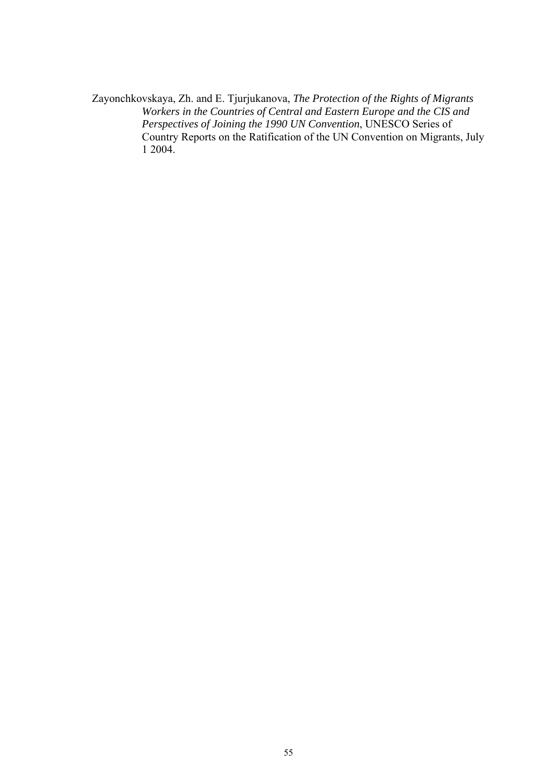Zayonchkovskaya, Zh. and E. Tjurjukanova, *The Protection of the Rights of Migrants Workers in the Countries of Central and Eastern Europe and the CIS and Perspectives of Joining the 1990 UN Convention*, UNESCO Series of Country Reports on the Ratification of the UN Convention on Migrants, July 1 2004.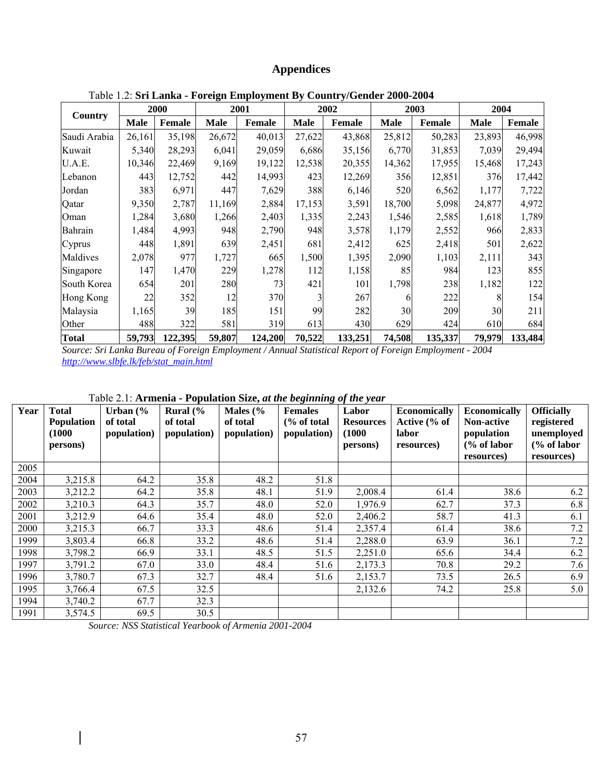# **Appendices**

<span id="page-56-0"></span>

|              |             | <b>2000</b>   |             | 2001          |             | 2002          |             | 2003    | 2004        |               |
|--------------|-------------|---------------|-------------|---------------|-------------|---------------|-------------|---------|-------------|---------------|
| Country      | <b>Male</b> | <b>Female</b> | <b>Male</b> | <b>Female</b> | <b>Male</b> | <b>Female</b> | <b>Male</b> | Female  | <b>Male</b> | <b>Female</b> |
| Saudi Arabia | 26,161      | 35,198        | 26,672      | 40,013        | 27,622      | 43,868        | 25,812      | 50,283  | 23,893      | 46,998        |
| Kuwait       | 5,340       | 28,293        | 6,041       | 29,059        | 6,686       | 35,156        | 6,770       | 31,853  | 7,039       | 29,494        |
| U.A.E.       | 10,346      | 22,469        | 9,169       | 19,122        | 12,538      | 20,355        | 14,362      | 17,955  | 15,468      | 17,243        |
| Lebanon      | 443         | 12,752        | 442         | 14,993        | 423         | 12,269        | 356         | 12,851  | 376         | 17,442        |
| Jordan       | 383         | 6,971         | 447         | 7,629         | 388         | 6,146         | 520         | 6,562   | 1,177       | 7,722         |
| Qatar        | 9,350       | 2,787         | 11,169      | 2,884         | 17,153      | 3,591         | 18,700      | 5,098   | 24,877      | 4,972         |
| Oman         | 1,284       | 3,680         | 1,266       | 2,403         | 1,335       | 2,243         | 1,546       | 2,585   | 1,618       | 1,789         |
| Bahrain      | 1,484       | 4,993         | 948         | 2,790         | 948         | 3,578         | 1,179       | 2,552   | 966         | 2,833         |
| Cyprus       | 448         | 1,891         | 639         | 2,451         | 681         | 2,412         | 625         | 2,418   | 501         | 2,622         |
| Maldives     | 2,078       | 977           | 1,727       | 665           | 1,500       | 1,395         | 2,090       | 1,103   | 2,111       | 343           |
| Singapore    | 147         | 1,470         | 229         | 1,278         | 112         | 1,158         | 85          | 984     | 123         | 855           |
| South Korea  | 654         | 201           | 280         | 73            | 421         | 101           | 1,798       | 238     | 1,182       | 122           |
| Hong Kong    | 22          | 352           | 12          | 370           | 3           | 267           |             | 222     |             | 154           |
| Malaysia     | 1,165       | 39            | 185         | 151           | 99          | 282           | 30          | 209     | 30          | 211           |
| Other        | 488         | 322           | 581         | 319           | 613         | 430           | 629         | 424     | 610         | 684           |
| <b>Total</b> | 59,793      | 122,395       | 59,807      | 124,200       | 70,522      | 133,251       | 74,508      | 135,337 | 79,979      | 133,484       |

Table 1.2: **Sri Lanka - Foreign Employment By Country/Gender 2000-2004** 

*Source: Sri Lanka Bureau of Foreign Employment / Annual Statistical Report of Foreign Employment - 2004 [http://www.slbfe.lk/feb/stat\\_main.html](http://www.slbfe.lk/feb/stat_main.html)*

| Year | <b>Total</b>      | Urban $\frac{6}{6}$ | $1400$ , $2.1$ , Armenia - I opulation Size, at the beginning of the year<br>Rural $\frac{6}{6}$ | Males $\frac{6}{6}$ | <b>Females</b> | Labor            | <b>Economically</b> | <b>Economically</b>    | <b>Officially</b> |
|------|-------------------|---------------------|--------------------------------------------------------------------------------------------------|---------------------|----------------|------------------|---------------------|------------------------|-------------------|
|      | <b>Population</b> | of total            | of total                                                                                         | of total            | % of total     | <b>Resources</b> | Active (% of        | <b>Non-active</b>      | registered        |
|      | (1000             | population)         | population)                                                                                      | population)         | population)    | (1000)           | labor               | population             | unemployed        |
|      | persons)          |                     |                                                                                                  |                     |                | persons)         | resources)          | $\frac{6}{6}$ of labor | (% of labor       |
|      |                   |                     |                                                                                                  |                     |                |                  |                     | resources)             | resources)        |
| 2005 |                   |                     |                                                                                                  |                     |                |                  |                     |                        |                   |
| 2004 | 3,215.8           | 64.2                | 35.8                                                                                             | 48.2                | 51.8           |                  |                     |                        |                   |
| 2003 | 3,212.2           | 64.2                | 35.8                                                                                             | 48.1                | 51.9           | 2,008.4          | 61.4                | 38.6                   | 6.2               |
| 2002 | 3,210.3           | 64.3                | 35.7                                                                                             | 48.0                | 52.0           | 1,976.9          | 62.7                | 37.3                   | 6.8               |
| 2001 | 3,212.9           | 64.6                | 35.4                                                                                             | 48.0                | 52.0           | 2,406.2          | 58.7                | 41.3                   | 6.1               |
| 2000 | 3,215.3           | 66.7                | 33.3                                                                                             | 48.6                | 51.4           | 2,357.4          | 61.4                | 38.6                   | 7.2               |
| 1999 | 3,803.4           | 66.8                | 33.2                                                                                             | 48.6                | 51.4           | 2,288.0          | 63.9                | 36.1                   | 7.2               |
| 1998 | 3,798.2           | 66.9                | 33.1                                                                                             | 48.5                | 51.5           | 2,251.0          | 65.6                | 34.4                   | 6.2               |
| 1997 | 3,791.2           | 67.0                | 33.0                                                                                             | 48.4                | 51.6           | 2,173.3          | 70.8                | 29.2                   | 7.6               |
| 1996 | 3,780.7           | 67.3                | 32.7                                                                                             | 48.4                | 51.6           | 2,153.7          | 73.5                | 26.5                   | 6.9               |
| 1995 | 3,766.4           | 67.5                | 32.5                                                                                             |                     |                | 2,132.6          | 74.2                | 25.8                   | 5.0               |
| 1994 | 3,740.2           | 67.7                | 32.3                                                                                             |                     |                |                  |                     |                        |                   |
| 1991 | 3,574.5           | 69.5                | 30.5                                                                                             |                     |                |                  |                     |                        |                   |

# Table 2.1: **Armenia - Population Size,** *at the beginning of the year*

*Source: NSS Statistical Yearbook of Armenia 2001-2004*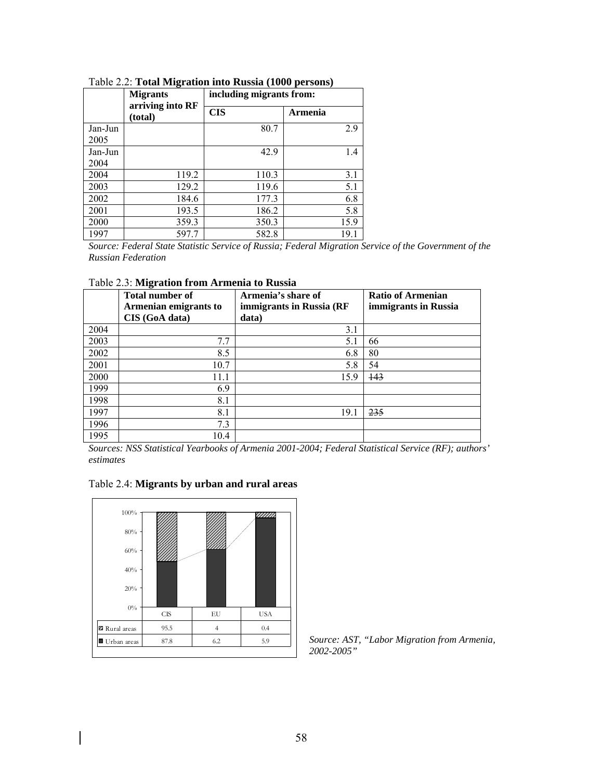|                 | <b>Migrants</b>             | including migrants from: |         |  |
|-----------------|-----------------------------|--------------------------|---------|--|
|                 | arriving into RF<br>(total) | <b>CIS</b>               | Armenia |  |
| Jan-Jun<br>2005 |                             | 80.7                     | 2.9     |  |
| Jan-Jun         |                             | 42.9                     | 1.4     |  |
| 2004            |                             |                          |         |  |
| 2004            | 119.2                       | 110.3                    | 3.1     |  |
| 2003            | 129.2                       | 119.6                    | 5.1     |  |
| 2002            | 184.6                       | 177.3                    | 6.8     |  |
| 2001            | 193.5                       | 186.2                    | 5.8     |  |
| 2000            | 359.3                       | 350.3                    | 15.9    |  |
| 1997            | 597.7                       | 582.8                    | 19.1    |  |

Table 2.2: **Total Migration into Russia (1000 persons)**

*Source: Federal State Statistic Service of Russia; Federal Migration Service of the Government of the Russian Federation* 

|      | <b>Total number of</b><br>Armenian emigrants to<br>CIS (GoA data) | Armenia's share of<br>immigrants in Russia (RF<br>data) | <b>Ratio of Armenian</b><br>immigrants in Russia |
|------|-------------------------------------------------------------------|---------------------------------------------------------|--------------------------------------------------|
| 2004 |                                                                   | 3.1                                                     |                                                  |
| 2003 | 7.7                                                               | 5.1                                                     | 66                                               |
| 2002 | 8.5                                                               | 6.8                                                     | 80                                               |
| 2001 | 10.7                                                              | 5.8                                                     | 54                                               |
| 2000 | 11.1                                                              | 15.9                                                    | 143                                              |
| 1999 | 6.9                                                               |                                                         |                                                  |
| 1998 | 8.1                                                               |                                                         |                                                  |
| 1997 | 8.1                                                               | 19.1                                                    | 235                                              |
| 1996 | 7.3                                                               |                                                         |                                                  |
| 1995 | 10.4                                                              |                                                         |                                                  |

*Sources: NSS Statistical Yearbooks of Armenia 2001-2004; Federal Statistical Service (RF); authors' estimates* 





*Source: AST, "Labor Migration from Armenia, 2002-2005"*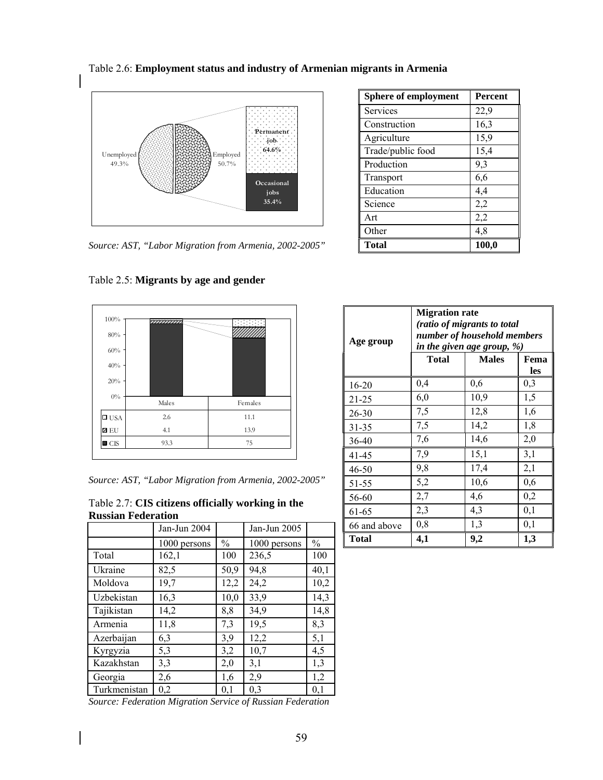

Table 2.6: **Employment status and industry of Armenian migrants in Armenia**

*Source: AST, "Labor Migration from Armenia, 2002-2005"* 

| <b>Sphere of employment</b> | <b>Percent</b> |
|-----------------------------|----------------|
| Services                    | 22,9           |
| Construction                | 16,3           |
| Agriculture                 | 15,9           |
| Trade/public food           | 15,4           |
| Production                  | 9,3            |
| Transport                   | 6,6            |
| Education                   | 4,4            |
| Science                     | 2,2            |
| Art                         | 2,2            |
| Other                       | 4,8            |
| <b>Total</b>                | 100,0          |

| 100%<br>$80\%$<br>$60\%$<br>40%<br>20% | mmmm  |         |
|----------------------------------------|-------|---------|
| $0\%$                                  | Males | Females |
| $\square$ USA                          | 2.6   | 11.1    |
| Z EU                                   | 4.1   | 13.9    |
| $\blacksquare$ CIS                     | 93.3  | 75      |

Table 2.5: **Migrants by age and gender** 

| $-0.3/1$           | $\overline{\phantom{a}}$ | .                                                      |  |
|--------------------|--------------------------|--------------------------------------------------------|--|
| Z EU               |                          | 13.9                                                   |  |
| $\blacksquare$ CIS | 93.3                     |                                                        |  |
|                    |                          |                                                        |  |
|                    |                          |                                                        |  |
|                    |                          | Source: AST, "Labor Migration from Armenia, 2002-2005" |  |

Table 2.7: **CIS citizens officially working in the Russian Federation**

|              | Jan-Jun 2004 |               | Jan-Jun 2005 |      |
|--------------|--------------|---------------|--------------|------|
|              | 1000 persons | $\frac{0}{0}$ | 1000 persons | $\%$ |
| Total        | 162,1        | 100           | 236,5        | 100  |
| Ukraine      | 82,5         | 50,9          | 94,8         | 40,1 |
| Moldova      | 19,7         | 12,2          | 24,2         | 10,2 |
| Uzbekistan   | 16,3         | 10,0          | 33,9         | 14,3 |
| Tajikistan   | 14,2         | 8,8           | 34,9         | 14,8 |
| Armenia      | 11,8         | 7,3           | 19,5         | 8,3  |
| Azerbaijan   | 6,3          | 3,9           | 12,2         | 5,1  |
| Kyrgyzia     | 5,3          | 3,2           | 10,7         | 4,5  |
| Kazakhstan   | 3,3          | 2,0           | 3,1          | 1,3  |
| Georgia      | 2,6          | 1,6           | 2,9          | 1,2  |
| Turkmenistan | 0,2          | 0.1           | 0,3          | 0,1  |

*Source: Federation Migration Service of Russian Federation* 

| Age group    | <b>Migration rate</b><br>(ratio of migrants to total<br>number of household members<br>in the given age group, %) |              |             |  |  |
|--------------|-------------------------------------------------------------------------------------------------------------------|--------------|-------------|--|--|
|              | Total                                                                                                             | <b>Males</b> | Fema<br>les |  |  |
| 16-20        | 0,4                                                                                                               | 0,6          | 0,3         |  |  |
| 21-25        | 6,0                                                                                                               | 10,9         | 1,5         |  |  |
| $26 - 30$    | 7,5                                                                                                               | 12,8         | 1,6         |  |  |
| $31 - 35$    | 7,5                                                                                                               | 14,2         | 1,8         |  |  |
| 36-40        | 7,6                                                                                                               | 14,6         | 2,0         |  |  |
| 41-45        | 7,9                                                                                                               | 15,1         | 3,1         |  |  |
| 46-50        | 9,8                                                                                                               | 17,4         | 2,1         |  |  |
| 51-55        | 5,2                                                                                                               | 10,6         | 0,6         |  |  |
| 56-60        | 2,7                                                                                                               | 4,6          | 0,2         |  |  |
| 61-65        | 2,3                                                                                                               | 4,3          | 0,1         |  |  |
| 66 and above | 0,8                                                                                                               | 1,3          | 0,1         |  |  |
| <b>Total</b> | 4,1                                                                                                               | 9,2          | 1,3         |  |  |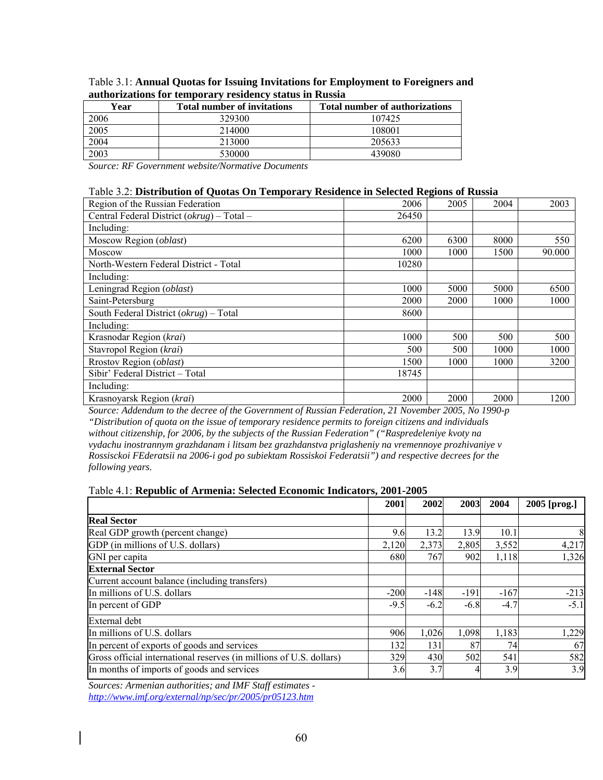| Year | <b>Total number of invitations</b> | <b>Total number of authorizations</b> |
|------|------------------------------------|---------------------------------------|
| 2006 | 329300                             | 107425                                |
| 2005 | 214000                             | 108001                                |
| 2004 | 213000                             | 205633                                |
| 2003 | 530000                             | 439080                                |

| Table 3.1: Annual Quotas for Issuing Invitations for Employment to Foreigners and |
|-----------------------------------------------------------------------------------|
| authorizations for temporary residency status in Russia                           |

*Source: RF Government website/Normative Documents* 

#### Table 3.2: **Distribution of Quotas On Temporary Residence in Selected Regions of Russia**

| Region of the Russian Federation                   | 2006  | 2005 | 2004 | 2003   |
|----------------------------------------------------|-------|------|------|--------|
| Central Federal District $(\alpha krug)$ – Total – | 26450 |      |      |        |
| Including:                                         |       |      |      |        |
| Moscow Region (oblast)                             | 6200  | 6300 | 8000 | 550    |
| Moscow                                             | 1000  | 1000 | 1500 | 90.000 |
| North-Western Federal District - Total             | 10280 |      |      |        |
| Including:                                         |       |      |      |        |
| Leningrad Region (oblast)                          | 1000  | 5000 | 5000 | 6500   |
| Saint-Petersburg                                   | 2000  | 2000 | 1000 | 1000   |
| South Federal District $(okrug)$ – Total           | 8600  |      |      |        |
| Including:                                         |       |      |      |        |
| Krasnodar Region (krai)                            | 1000  | 500  | 500  | 500    |
| Stavropol Region (krai)                            | 500   | 500  | 1000 | 1000   |
| Rrostov Region (oblast)                            | 1500  | 1000 | 1000 | 3200   |
| Sibir' Federal District - Total                    | 18745 |      |      |        |
| Including:                                         |       |      |      |        |
| Krasnoyarsk Region (krai)                          | 2000  | 2000 | 2000 | 1200   |

*Source: Addendum to the decree of the Government of Russian Federation, 21 November 2005, No 1990-p "Distribution of quota on the issue of temporary residence permits to foreign citizens and individuals without citizenship, for 2006, by the subjects of the Russian Federation" ("Raspredeleniye kvoty na vydachu inostrannym grazhdanam i litsam bez grazhdanstva priglasheniy na vremennoye prozhivaniye v Rossisckoi FEderatsii na 2006-i god po subiektam Rossiskoi Federatsii") and respective decrees for the following years.* 

### Table 4.1: **Republic of Armenia: Selected Economic Indicators, 2001-2005**

|                                                                     | 2001   | 2002   | 2003   | 2004   | 2005 [prog.] |
|---------------------------------------------------------------------|--------|--------|--------|--------|--------------|
| <b>Real Sector</b>                                                  |        |        |        |        |              |
| Real GDP growth (percent change)                                    | 9.6    | 13.2   | 13.9   | 10.1   | 8            |
| GDP (in millions of U.S. dollars)                                   | 2,120  | 2,373  | 2,805  | 3,552  | 4,217        |
| GNI per capita                                                      | 680    | 767    | 902    | 1,118  | 1,326        |
| <b>External Sector</b>                                              |        |        |        |        |              |
| Current account balance (including transfers)                       |        |        |        |        |              |
| In millions of U.S. dollars                                         | $-200$ | $-148$ | $-191$ | $-167$ | $-213$       |
| In percent of GDP                                                   | $-9.5$ | $-6.2$ | $-6.8$ | $-4.7$ | $-5.1$       |
| External debt                                                       |        |        |        |        |              |
| In millions of U.S. dollars                                         | 906    | 1,026  | 1,098  | 1,183  | 1,229        |
| In percent of exports of goods and services                         | 1321   | 131    | 87     | 74     | 67           |
| Gross official international reserves (in millions of U.S. dollars) | 329    | 430    | 502    | 541    | 582          |
| In months of imports of goods and services                          | 3.6    | 3.7    |        | 3.9    | 3.9          |

*Sources: Armenian authorities; and IMF Staff estimates http://www.imf.org/external/np/sec/pr/2005/pr05123.htm*